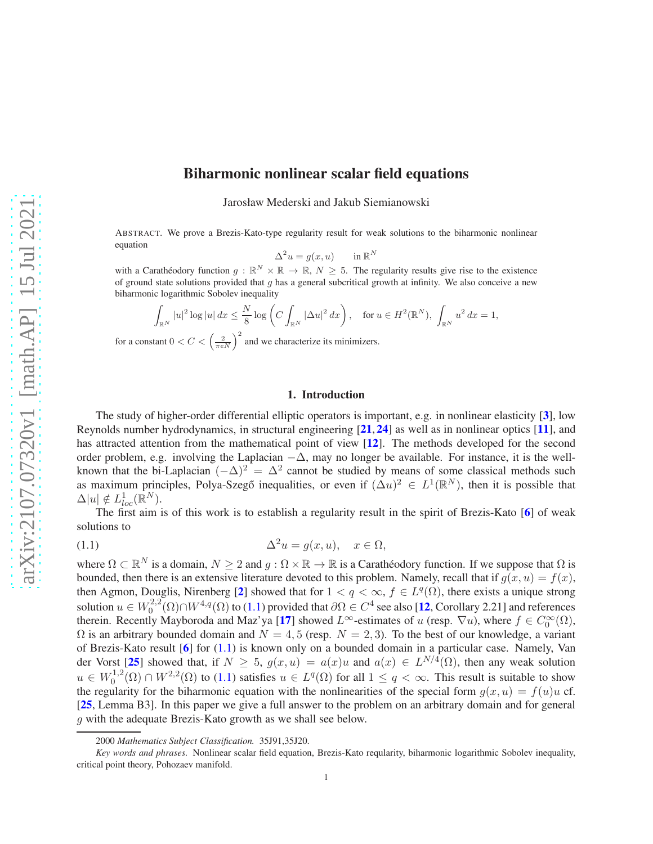# Biharmonic nonlinear scalar field equations

Jarosław Mederski and Jakub Siemianowski

ABSTRACT. We prove a Brezis-Kato-type regularity result for weak solutions to the biharmonic nonlinear equation

$$
\Delta^2 u = g(x, u) \qquad \text{in } \mathbb{R}^N
$$

with a Carathéodory function  $g : \mathbb{R}^N \times \mathbb{R} \to \mathbb{R}$ ,  $N \geq 5$ . The regularity results give rise to the existence of ground state solutions provided that  $g$  has a general subcritical growth at infinity. We also conceive a new biharmonic logarithmic Sobolev inequality

$$
\int_{\mathbb{R}^N} |u|^2 \log |u| \, dx \le \frac{N}{8} \log \left( C \int_{\mathbb{R}^N} |\Delta u|^2 \, dx \right), \quad \text{for } u \in H^2(\mathbb{R}^N), \int_{\mathbb{R}^N} u^2 \, dx = 1,
$$

for a constant  $0 < C < \left(\frac{2}{\pi e N}\right)^2$  and we characterize its minimizers.

# <span id="page-0-0"></span>1. Introduction

The study of higher-order differential elliptic operators is important, e.g. in nonlinear elasticity [[3](#page-19-0)], low Reynolds number hydrodynamics, in structural engineering [[21](#page-20-0), [24](#page-20-1)] as well as in nonlinear optics [[11](#page-19-1)], and has attracted attention from the mathematical point of view [[12](#page-19-2)]. The methods developed for the second order problem, e.g. involving the Laplacian  $-\Delta$ , may no longer be available. For instance, it is the wellknown that the bi-Laplacian  $(-\Delta)^2 = \Delta^2$  cannot be studied by means of some classical methods such as maximum principles, Polya-Szegő inequalities, or even if  $(\Delta u)^2 \in L^1(\mathbb{R}^N)$ , then it is possible that  $\Delta |u| \notin L^1_{loc}(\mathbb{R}^N).$ 

The first aim is of this work is to establish a regularity result in the spirit of Brezis-Kato  $\lceil 6 \rceil$  $\lceil 6 \rceil$  $\lceil 6 \rceil$  of weak solutions to

(1.1) 
$$
\Delta^2 u = g(x, u), \quad x \in \Omega,
$$

where  $\Omega \subset \mathbb{R}^N$  is a domain,  $N \ge 2$  and  $g : \Omega \times \mathbb{R} \to \mathbb{R}$  is a Carathéodory function. If we suppose that  $\Omega$  is bounded, then there is an extensive literature devoted to this problem. Namely, recall that if  $g(x, u) = f(x)$ , then Agmon, Douglis, Nirenberg [[2](#page-19-4)] showed that for  $1 < q < \infty$ ,  $f \in L^q(\Omega)$ , there exists a unique strong solution  $u \in W_0^{2,2}$  $C_0^{2,2}(\Omega) \cap W^{4,q}(\Omega)$  to [\(1.1\)](#page-0-0) provided that  $\partial \Omega \in C^4$  see also [[12](#page-19-2), Corollary 2.21] and references therein. Recently Mayboroda and Maz'ya [[17](#page-19-5)] showed  $L^{\infty}$ -estimates of u (resp.  $\nabla u$ ), where  $f \in C_0^{\infty}(\Omega)$ ,  $\Omega$  is an arbitrary bounded domain and  $N = 4, 5$  (resp.  $N = 2, 3$ ). To the best of our knowledge, a variant of Brezis-Kato result [[6](#page-19-3)] for [\(1.1\)](#page-0-0) is known only on a bounded domain in a particular case. Namely, Van der Vorst [[25](#page-20-2)] showed that, if  $N \geq 5$ ,  $g(x, u) = a(x)u$  and  $a(x) \in L^{N/4}(\Omega)$ , then any weak solution  $u \in W_0^{1,2}$  $\mathcal{O}_0^{1,2}(\Omega) \cap W^{2,2}(\Omega)$  to [\(1.1\)](#page-0-0) satisfies  $u \in L^q(\Omega)$  for all  $1 \le q < \infty$ . This result is suitable to show the regularity for the biharmonic equation with the nonlinearities of the special form  $g(x, u) = f(u)u$  cf. [[25](#page-20-2), Lemma B3]. In this paper we give a full answer to the problem on an arbitrary domain and for general g with the adequate Brezis-Kato growth as we shall see below.

<sup>2000</sup> *Mathematics Subject Classification.* 35J91,35J20.

*Key words and phrases.* Nonlinear scalar field equation, Brezis-Kato reqularity, biharmonic logarithmic Sobolev inequality, critical point theory, Pohozaev manifold.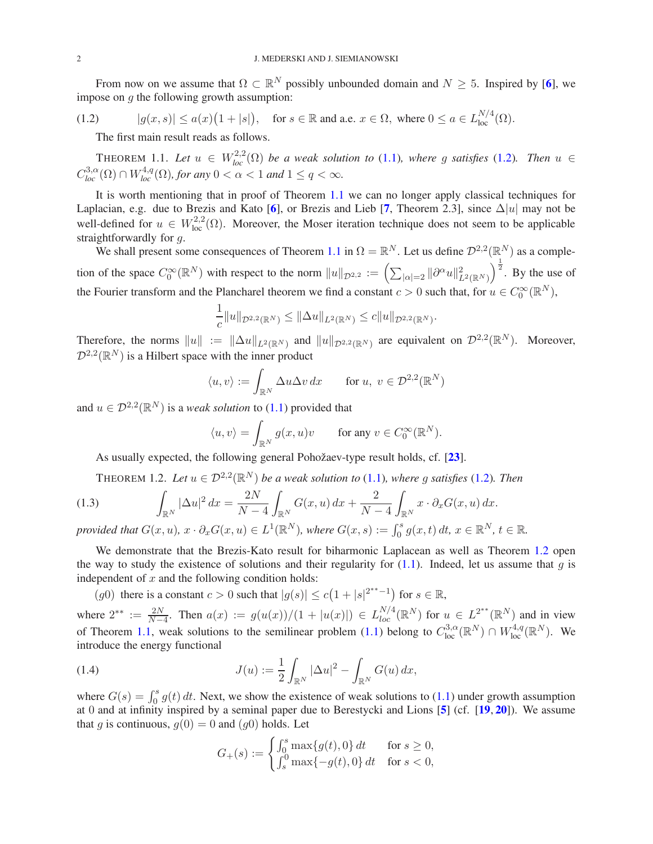From now on we assume that  $\Omega \subset \mathbb{R}^N$  possibly unbounded domain and  $N \geq 5$ . Inspired by [[6](#page-19-3)], we impose on  $q$  the following growth assumption:

$$
(1.2) \t |g(x,s)| \le a(x)\big(1+|s|\big), \t \text{ for } s \in \mathbb{R} \text{ and a.e. } x \in \Omega, \text{ where } 0 \le a \in L_{\text{loc}}^{N/4}(\Omega).
$$

<span id="page-1-0"></span>The first main result reads as follows.

<span id="page-1-1"></span>THEOREM 1.1. Let  $u \in W_{loc}^{2,2}(\Omega)$  be a weak solution to [\(1.1\)](#page-0-0), where g satisfies [\(1.2\)](#page-1-0). Then  $u \in$  $C^{3,\alpha}_{loc}(\Omega) \cap W^{4,q}_{loc}(\Omega)$ , for any  $0 < \alpha < 1$  and  $1 \leq q < \infty$ .

It is worth mentioning that in proof of Theorem [1.1](#page-1-1) we can no longer apply classical techniques for Laplacian, e.g. due to Brezis and Kato [[6](#page-19-3)], or Brezis and Lieb [[7](#page-19-6), Theorem 2.3], since  $\Delta |u|$  may not be well-defined for  $u \in W^{2,2}_{loc}(\Omega)$ . Moreover, the Moser iteration technique does not seem to be applicable straightforwardly for q.

We shall present some consequences of Theorem [1.1](#page-1-1) in  $\Omega = \mathbb{R}^N$ . Let us define  $\mathcal{D}^{2,2}(\mathbb{R}^N)$  as a completion of the space  $C_0^{\infty}(\mathbb{R}^N)$  with respect to the norm  $||u||_{\mathcal{D}^{2,2}} := \left(\sum_{|\alpha|=2} ||\partial^{\alpha}u||_{L^2(\mathbb{R}^N)}^2\right)$  $\int_{0}^{\frac{1}{2}}$ . By the use of the Fourier transform and the Plancharel theorem we find a constant  $c > 0$  such that, for  $u \in C_0^{\infty}(\mathbb{R}^N)$ ,

$$
\frac{1}{c}||u||_{\mathcal{D}^{2,2}(\mathbb{R}^N)} \leq ||\Delta u||_{L^2(\mathbb{R}^N)} \leq c||u||_{\mathcal{D}^{2,2}(\mathbb{R}^N)}.
$$

Therefore, the norms  $||u|| := ||\Delta u||_{L^2(\mathbb{R}^N)}$  and  $||u||_{\mathcal{D}^{2,2}(\mathbb{R}^N)}$  are equivalent on  $\mathcal{D}^{2,2}(\mathbb{R}^N)$ . Moreover,  $\mathcal{D}^{2,2}(\mathbb{R}^N)$  is a Hilbert space with the inner product

$$
\langle u, v \rangle := \int_{\mathbb{R}^N} \Delta u \Delta v \, dx \quad \text{for } u, v \in \mathcal{D}^{2,2}(\mathbb{R}^N)
$$

and  $u \in \mathcal{D}^{2,2}(\mathbb{R}^N)$  is a *weak solution* to [\(1.1\)](#page-0-0) provided that

$$
\langle u, v \rangle = \int_{\mathbb{R}^N} g(x, u)v \quad \text{for any } v \in C_0^{\infty}(\mathbb{R}^N).
$$

As usually expected, the following general Pohožaev-type result holds, cf. [[23](#page-20-3)].

<span id="page-1-2"></span>THEOREM 1.2. Let  $u \in \mathcal{D}^{2,2}(\mathbb{R}^N)$  be a weak solution to [\(1.1\)](#page-0-0), where g satisfies [\(1.2\)](#page-1-0). Then

(1.3) 
$$
\int_{\mathbb{R}^N} |\Delta u|^2 dx = \frac{2N}{N-4} \int_{\mathbb{R}^N} G(x, u) dx + \frac{2}{N-4} \int_{\mathbb{R}^N} x \cdot \partial_x G(x, u) dx.
$$
provided that  $C(x, u) = \partial_x C(x, u) \subset L^1(\mathbb{R}^N)$  where  $C(x, u) = \int_{-\infty}^s g(x, t) dt$ ,  $x \in \mathbb{R}^N$ ,  $t \in \mathbb{R}^N$ .

*provided that*  $G(x, u)$ ,  $x \cdot \partial_x G(x, u) \in L^1(\mathbb{R}^N)$ , where  $G(x, s) := \int_0^s g(x, t) dt$ ,  $x \in \mathbb{R}^N$ ,  $t \in \mathbb{R}$ .

We demonstrate that the Brezis-Kato result for biharmonic Laplacean as well as Theorem [1.2](#page-1-2) open the way to study the existence of solutions and their regularity for  $(1.1)$ . Indeed, let us assume that q is independent of  $x$  and the following condition holds:

(g0) there is a constant  $c > 0$  such that  $|g(s)| \le c(1+|s|^{2^{**}-1})$  for  $s \in \mathbb{R}$ ,

where  $2^{**} := \frac{2N}{N-4}$ . Then  $a(x) := g(u(x))/(1 + |u(x)|) \in L_{loc}^{N/4}(\mathbb{R}^N)$  for  $u \in L^{2^{**}}(\mathbb{R}^N)$  and in view of Theorem [1.1,](#page-1-1) weak solutions to the semilinear problem [\(1.1\)](#page-0-0) belong to  $C^{3,\alpha}_{loc}(\mathbb{R}^N) \cap W^{4,q}_{loc}(\mathbb{R}^N)$ . We introduce the energy functional

(1.4) 
$$
J(u) := \frac{1}{2} \int_{\mathbb{R}^N} |\Delta u|^2 - \int_{\mathbb{R}^N} G(u) \, dx,
$$

where  $G(s) = \int_0^s g(t) dt$ . Next, we show the existence of weak solutions to [\(1.1\)](#page-0-0) under growth assumption at 0 and at infinity inspired by a seminal paper due to Berestycki and Lions [[5](#page-19-7)] (cf. [[19](#page-19-8), [20](#page-19-9)]). We assume that g is continuous,  $g(0) = 0$  and  $(g0)$  holds. Let

$$
G_{+}(s) := \begin{cases} \int_{0}^{s} \max\{g(t), 0\} dt & \text{for } s \ge 0, \\ \int_{s}^{0} \max\{-g(t), 0\} dt & \text{for } s < 0, \end{cases}
$$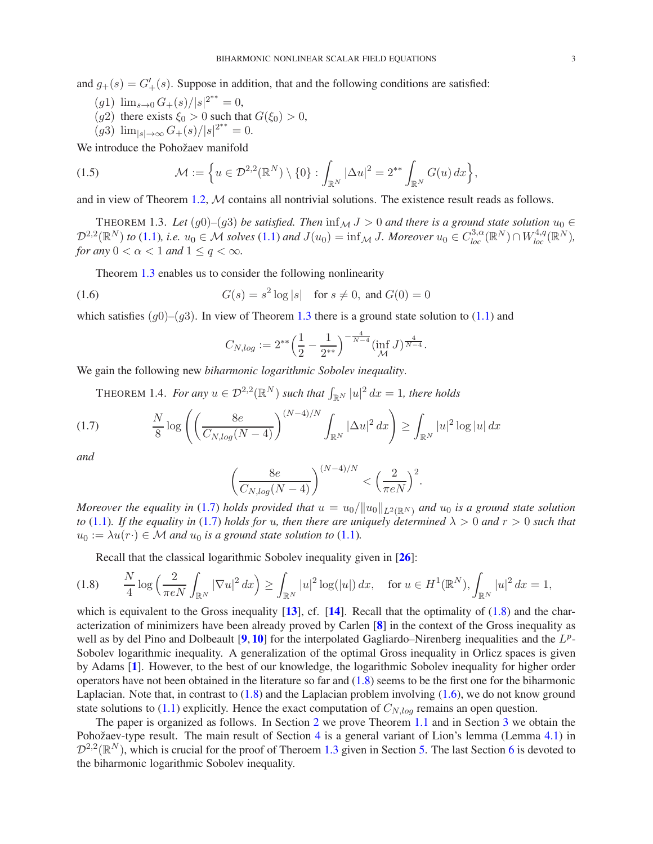and  $g_{+}(s) = G'_{+}(s)$ . Suppose in addition, that and the following conditions are satisfied:

- (g1)  $\lim_{s\to 0} G_{+}(s)/|s|^{2^{**}} = 0,$
- $(g2)$  there exists  $\xi_0 > 0$  such that  $G(\xi_0) > 0$ ,
- $(g3)$   $\lim_{|s| \to \infty} G_{+}(s)/|s|^{2^{**}} = 0.$

We introduce the Pohožaev manifold

(1.5) 
$$
\mathcal{M} := \left\{ u \in \mathcal{D}^{2,2}(\mathbb{R}^N) \setminus \{0\} : \int_{\mathbb{R}^N} |\Delta u|^2 = 2^{**} \int_{\mathbb{R}^N} G(u) \, dx \right\},
$$

and in view of Theorem [1.2,](#page-1-2) M contains all nontrivial solutions. The existence result reads as follows.

<span id="page-2-0"></span>THEOREM 1.3. *Let* (g0)–(g3) *be satisfied. Then*  $\inf_M J > 0$  *and there is a ground state solution*  $u_0 \in$  $\mathcal{D}^{2,2}(\mathbb{R}^N)$  to [\(1.1\)](#page-0-0), i.e.  $u_0 \in \mathcal{M}$  solves (1.1) and  $J(u_0) = \inf_{\mathcal{M}} J$ . Moreover  $u_0 \in C^{3,\alpha}_{loc}(\mathbb{R}^N) \cap W^{4,q}_{loc}(\mathbb{R}^N)$ , *for any*  $0 < \alpha < 1$  *and*  $1 \le q < \infty$ *.* 

Theorem [1.3](#page-2-0) enables us to consider the following nonlinearity

(1.6) 
$$
G(s) = s^2 \log |s| \text{ for } s \neq 0, \text{ and } G(0) = 0
$$

which satisfies  $(g0)$ – $(g3)$ . In view of Theorem [1.3](#page-2-0) there is a ground state solution to [\(1.1\)](#page-0-0) and

<span id="page-2-3"></span>
$$
C_{N,log} := 2^{**} \left(\frac{1}{2} - \frac{1}{2^{**}}\right)^{-\frac{4}{N-4}} \left(\inf_{\mathcal{M}} J\right)^{\frac{4}{N-4}}.
$$

We gain the following new *biharmonic logarithmic Sobolev inequality*.

<span id="page-2-4"></span><span id="page-2-1"></span>THEOREM 1.4. *For any*  $u \in \mathcal{D}^{2,2}(\mathbb{R}^N)$  such that  $\int_{\mathbb{R}^N} |u|^2 dx = 1$ , there holds

(1.7) 
$$
\frac{N}{8} \log \left( \left( \frac{8e}{C_{N, \log}(N-4)} \right)^{(N-4)/N} \int_{\mathbb{R}^N} |\Delta u|^2 dx \right) \ge \int_{\mathbb{R}^N} |u|^2 \log |u| dx
$$

*and*

$$
\left(\frac{8e}{C_{N,log}(N-4)}\right)^{(N-4)/N} < \left(\frac{2}{\pi eN}\right)^2.
$$

*Moreover the equality in* [\(1.7\)](#page-2-1) *holds provided that*  $u = u_0/||u_0||_{L^2(\mathbb{R}^N)}$  *and*  $u_0$  *is a ground state solution to* [\(1.1\)](#page-0-0). If the equality in [\(1.7\)](#page-2-1) holds for u, then there are uniquely determined  $\lambda > 0$  and  $r > 0$  such that  $u_0 := \lambda u(r) \in \mathcal{M}$  and  $u_0$  is a ground state solution to [\(1.1\)](#page-0-0).

<span id="page-2-2"></span>Recall that the classical logarithmic Sobolev inequality given in [[26](#page-20-4)]:

$$
(1.8) \qquad \frac{N}{4}\log\left(\frac{2}{\pi eN}\int_{\mathbb{R}^N}|\nabla u|^2\,dx\right)\geq \int_{\mathbb{R}^N}|u|^2\log(|u|)\,dx,\quad \text{for } u\in H^1(\mathbb{R}^N),\int_{\mathbb{R}^N}|u|^2\,dx=1,
$$

which is equivalent to the Gross inequality  $[13]$  $[13]$  $[13]$ , cf.  $[14]$  $[14]$  $[14]$ . Recall that the optimality of  $(1.8)$  and the characterization of minimizers have been already proved by Carlen [[8](#page-19-12)] in the context of the Gross inequality as well as by del Pino and Dolbeault  $[9, 10]$  $[9, 10]$  $[9, 10]$  $[9, 10]$  $[9, 10]$  for the interpolated Gagliardo–Nirenberg inequalities and the  $L^p$ -Sobolev logarithmic inequality. A generalization of the optimal Gross inequality in Orlicz spaces is given by Adams [[1](#page-19-15)]. However, to the best of our knowledge, the logarithmic Sobolev inequality for higher order operators have not been obtained in the literature so far and  $(1.8)$  seems to be the first one for the biharmonic Laplacian. Note that, in contrast to  $(1.8)$  and the Laplacian problem involving  $(1.6)$ , we do not know ground state solutions to  $(1.1)$  explicitly. Hence the exact computation of  $C_{N,log}$  remains an open question.

The paper is organized as follows. In Section [2](#page-3-0) we prove Theorem [1.1](#page-1-1) and in Section [3](#page-7-0) we obtain the Pohožaev-type result. The main result of Section [4](#page-8-0) is a general variant of Lion's lemma (Lemma [4.1\)](#page-8-1) in  $\mathcal{D}^{2,2}(\mathbb{R}^N)$ , which is crucial for the proof of Theroem [1.3](#page-2-0) given in Section [5.](#page-10-0) The last Section [6](#page-16-0) is devoted to the biharmonic logarithmic Sobolev inequality.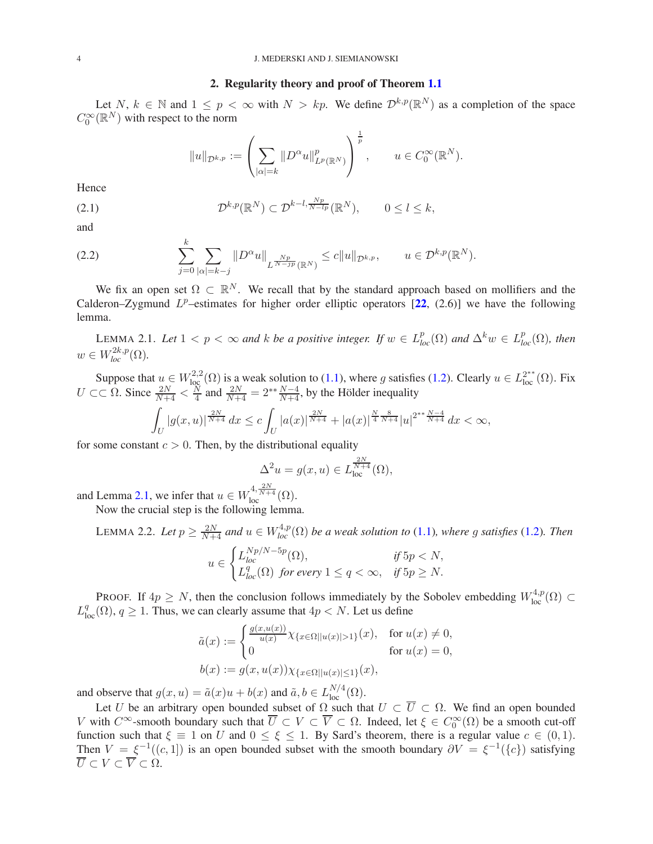# 2. Regularity theory and proof of Theorem [1.1](#page-1-1)

<span id="page-3-0"></span>Let N,  $k \in \mathbb{N}$  and  $1 \leq p < \infty$  with  $N > kp$ . We define  $\mathcal{D}^{k,p}(\mathbb{R}^N)$  as a completion of the space  $C_0^{\infty}(\mathbb{R}^N)$  with respect to the norm

$$
||u||_{\mathcal{D}^{k,p}} := \left(\sum_{|\alpha|=k} ||D^{\alpha}u||_{L^{p}(\mathbb{R}^{N})}^{p}\right)^{\frac{1}{p}}, \quad u \in C_{0}^{\infty}(\mathbb{R}^{N}).
$$

Hence

(2.1) 
$$
\mathcal{D}^{k,p}(\mathbb{R}^N) \subset \mathcal{D}^{k-l,\frac{Np}{N-lp}}(\mathbb{R}^N), \qquad 0 \le l \le k,
$$

and

(2.2) 
$$
\sum_{j=0}^{n} \sum_{|\alpha|=k-j} \|D^{\alpha}u\|_{L^{\frac{Np}{N-jp}}(\mathbb{R}^N)} \leq c \|u\|_{\mathcal{D}^{k,p}}, \qquad u \in \mathcal{D}^{k,p}(\mathbb{R}^N).
$$

We fix an open set  $\Omega \subset \mathbb{R}^N$ . We recall that by the standard approach based on mollifiers and the Calderon–Zygmund  $L^p$ –estimates for higher order elliptic operators [[22](#page-20-5), (2.6)] we have the following lemma.

<span id="page-3-1"></span>LEMMA 2.1. Let  $1 < p < \infty$  and k be a positive integer. If  $w \in L_{loc}^p(\Omega)$  and  $\Delta^k w \in L_{loc}^p(\Omega)$ , then  $w \in W_{loc}^{2k,p}(\Omega)$ .

Suppose that  $u \in W^{2,2}_{loc}(\Omega)$  is a weak solution to [\(1.1\)](#page-0-0), where g satisfies [\(1.2\)](#page-1-0). Clearly  $u \in L^{2^{**}}_{loc}(\Omega)$ . Fix  $U \subset\subset \Omega$ . Since  $\frac{2N}{N+4} < \frac{N}{4}$  $\frac{N}{4}$  and  $\frac{2N}{N+4} = 2^{**}\frac{N-4}{N+4}$ , by the Hölder inequality

$$
\int_{U} |g(x, u)|^{\frac{2N}{N+4}} dx \leq c \int_{U} |a(x)|^{\frac{2N}{N+4}} + |a(x)|^{\frac{N}{4}}^{\frac{8}{N+4}} |u|^{2^{**} \frac{N-4}{N+4}} dx < \infty,
$$

for some constant  $c > 0$ . Then, by the distributional equality

$$
\Delta^2 u = g(x, u) \in L_{loc}^{\frac{2N}{N+4}}(\Omega),
$$

and Lemma [2.1,](#page-3-1) we infer that  $u \in W_{\text{loc}}^{4, \frac{2N}{N+4}}(\Omega)$ .

k

Now the crucial step is the following lemma.

<span id="page-3-2"></span>LEMMA 2.2. Let  $p \geq \frac{2N}{N+4}$  and  $u \in W^{4,p}_{loc}(\Omega)$  be a weak solution to [\(1.1\)](#page-0-0), where g satisfies [\(1.2\)](#page-1-0). Then  $\sqrt{ }$ 

$$
u \in \begin{cases} L_{loc}^{Np/N-5p}(\Omega), & \text{if } 5p < N, \\ L_{loc}^q(\Omega) & \text{for every } 1 \le q < \infty, \quad \text{if } 5p \ge N. \end{cases}
$$

PROOF. If  $4p \geq N$ , then the conclusion follows immediately by the Sobolev embedding  $W^{4,p}_{loc}(\Omega) \subset$  $L_{loc}^q(\Omega)$ ,  $q \ge 1$ . Thus, we can clearly assume that  $4p < N$ . Let us define

$$
\tilde{a}(x) := \begin{cases}\n\frac{g(x, u(x))}{u(x)} \chi_{\{x \in \Omega \mid |u(x)| > 1\}}(x), & \text{for } u(x) \neq 0, \\
0 & \text{for } u(x) = 0, \n\end{cases}
$$
\n
$$
b(x) := g(x, u(x)) \chi_{\{x \in \Omega \mid |u(x)| \le 1\}}(x),
$$

and observe that  $g(x, u) = \tilde{a}(x)u + b(x)$  and  $\tilde{a}, b \in L_{loc}^{N/4}(\Omega)$ .

Let U be an arbitrary open bounded subset of  $\Omega$  such that  $U \subset \overline{U} \subset \Omega$ . We find an open bounded V with  $C^{\infty}$ -smooth boundary such that  $\overline{U} \subset V \subset \overline{V} \subset \Omega$ . Indeed, let  $\xi \in C_0^{\infty}(\Omega)$  be a smooth cut-off function such that  $\xi \equiv 1$  on U and  $0 \le \xi \le 1$ . By Sard's theorem, there is a regular value  $c \in (0,1)$ . Then  $V = \xi^{-1}((c, 1])$  is an open bounded subset with the smooth boundary  $\partial V = \xi^{-1}(\{c\})$  satisfying  $\overline{U} \subset V \subset \overline{V} \subset \overline{\Omega}$ .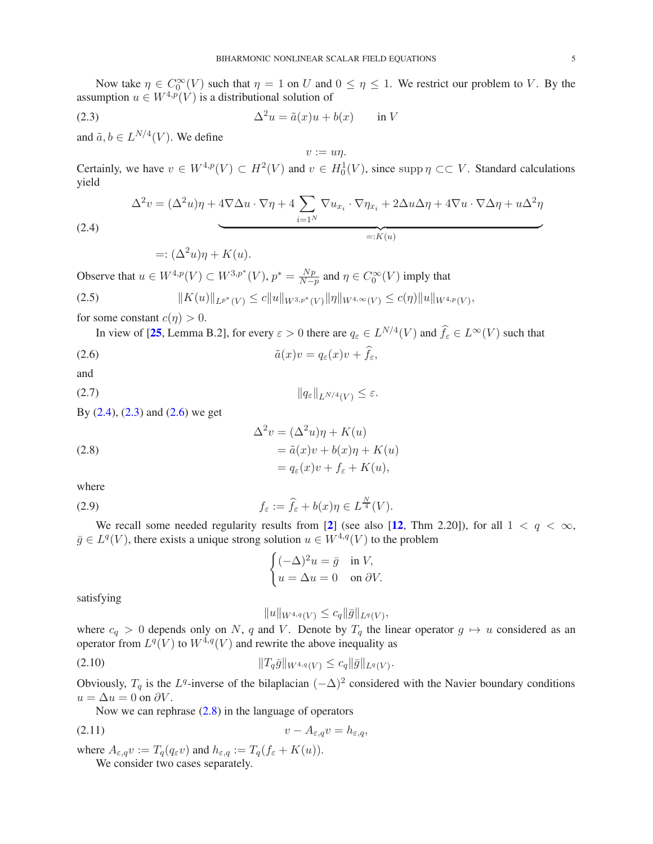Now take  $\eta \in C_0^{\infty}(V)$  such that  $\eta = 1$  on U and  $0 \le \eta \le 1$ . We restrict our problem to V. By the assumption  $u \in W^{4,p}(V)$  is a distributional solution of

(2.3) 
$$
\Delta^2 u = \tilde{a}(x)u + b(x) \quad \text{in } V
$$

and  $\tilde{a}, b \in L^{N/4}(V)$ . We define

Certainly, we have  $v \in W^{4,p}(V) \subset H^2(V)$  and  $v \in H_0^1(V)$ , since supp  $\eta \subset\subset V$ . Standard calculations yield

<span id="page-4-1"></span> $v := un$ .

$$
\Delta^{2}v = (\Delta^{2}u)\eta + 4\nabla\Delta u \cdot \nabla\eta + 4\sum_{i=1^{N}}\nabla u_{x_{i}} \cdot \nabla\eta_{x_{i}} + 2\Delta u\Delta\eta + 4\nabla u \cdot \nabla\Delta\eta + u\Delta^{2}\eta
$$
  
=:  $K(u)$ 

(2.4)

<span id="page-4-6"></span><span id="page-4-2"></span><span id="page-4-0"></span> $=:(\Delta^2 u)\eta + K(u).$ 

Observe that  $u \in W^{4,p}(V) \subset W^{3,p^*}(V)$ ,  $p^* = \frac{Np}{N-4}$  $\frac{Np}{N-p}$  and  $\eta \in C_0^{\infty}(V)$  imply that

$$
(2.5) \t\t\t ||K(u)||_{L^{p^*}(V)} \le c||u||_{W^{3,p^*}(V)}||\eta||_{W^{4,\infty}(V)} \le c(\eta)||u||_{W^{4,p}(V)},
$$

for some constant  $c(n) > 0$ .

In view of [25, Lemma B.2], for every 
$$
\varepsilon > 0
$$
 there are  $q_{\varepsilon} \in L^{N/4}(V)$  and  $\hat{f}_{\varepsilon} \in L^{\infty}(V)$  such that

(2.6)  $\tilde{a}(x)v = q_{\varepsilon}(x)v + f_{\varepsilon},$ 

and

$$
\|q_{\varepsilon}\|_{L^{N/4}(V)} \leq \varepsilon.
$$

By  $(2.4)$ ,  $(2.3)$  and  $(2.6)$  we get

(2.8)  
\n
$$
\Delta^2 v = (\Delta^2 u)\eta + K(u)
$$
\n
$$
= \tilde{a}(x)v + b(x)\eta + K(u)
$$
\n
$$
= q_{\varepsilon}(x)v + f_{\varepsilon} + K(u),
$$

where

(2.9) 
$$
f_{\varepsilon} := \widehat{f}_{\varepsilon} + b(x)\eta \in L^{\frac{N}{4}}(V).
$$

We recall some needed regularity results from [[2](#page-19-4)] (see also [[12](#page-19-2), Thm 2.20]), for all  $1 < q < \infty$ ,  $\bar{g} \in L^q(V)$ , there exists a unique strong solution  $u \in W^{4,q}(V)$  to the problem

<span id="page-4-7"></span><span id="page-4-5"></span><span id="page-4-3"></span>
$$
\begin{cases} (-\Delta)^2 u = \bar{g} & \text{in } V, \\ u = \Delta u = 0 & \text{on } \partial V. \end{cases}
$$

satisfying

<span id="page-4-8"></span><span id="page-4-4"></span> $||u||_{W^{4,q}(V)} \leq c_q ||\bar{g}||_{L^q(V)},$ 

where  $c_q > 0$  depends only on N, q and V. Denote by  $T_q$  the linear operator  $g \mapsto u$  considered as an operator from  $L^q(V)$  to  $W^{4,q}(V)$  and rewrite the above inequality as

(2.10) kTqg¯kW4,q(<sup>V</sup> ) ≤ cqkg¯kLq(<sup>V</sup> ) .

Obviously,  $T_q$  is the  $L^q$ -inverse of the bilaplacian  $(-\Delta)^2$  considered with the Navier boundary conditions  $u = \Delta u = 0$  on  $\partial V$ .

Now we can rephrase [\(2.8\)](#page-4-3) in the language of operators

$$
(2.11) \t\t v - A_{\varepsilon,q}v = h_{\varepsilon,q},
$$

where  $A_{\varepsilon,q}v := T_q(q_{\varepsilon}v)$  and  $h_{\varepsilon,q} := T_q(f_{\varepsilon} + K(u))$ .

We consider two cases separately.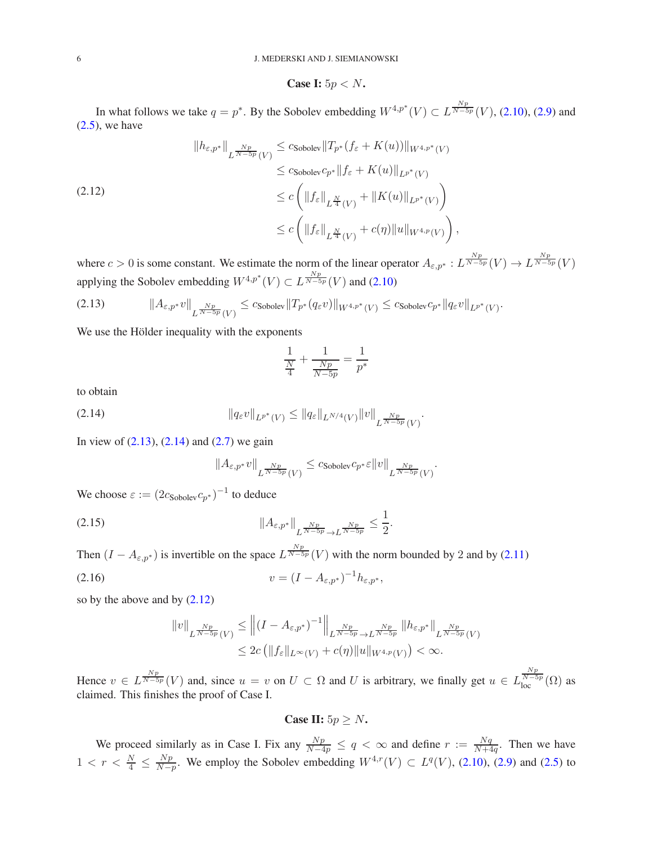Case I: 
$$
5p < N
$$
.

In what follows we take  $q = p^*$ . By the Sobolev embedding  $W^{4,p^*}(V) \subset L^{\frac{Np}{N-5p}}(V)$ , [\(2.10\)](#page-4-4), [\(2.9\)](#page-4-5) and  $(2.5)$ , we have

<span id="page-5-2"></span>
$$
\|h_{\varepsilon,p^*}\|_{L^{\frac{Np}{N-5p}}(V)} \leq c_{\text{Sobolev}} \|T_{p^*}(f_{\varepsilon} + K(u))\|_{W^{4,p^*}(V)}
$$
  

$$
\leq c_{\text{Sobolev}} c_{p^*} \|f_{\varepsilon} + K(u)\|_{L^{p^*}(V)}
$$
  

$$
\leq c \left( \|f_{\varepsilon}\|_{L^{\frac{N}{4}}(V)} + \|K(u)\|_{L^{p^*}(V)} \right)
$$
  

$$
\leq c \left( \|f_{\varepsilon}\|_{L^{\frac{N}{4}}(V)} + c(\eta) \|u\|_{W^{4,p}(V)} \right),
$$

where  $c > 0$  is some constant. We estimate the norm of the linear operator  $A_{\varepsilon,p^*}: L^{\frac{Np}{N-5p}}(V) \to L^{\frac{Np}{N-5p}}(V)$ applying the Sobolev embedding  $W^{4,p^*}(V) \subset L^{\frac{Np}{N-5p}}(V)$  and [\(2.10\)](#page-4-4)

<span id="page-5-0"></span>
$$
(2.13) \t\t\t ||A_{\varepsilon,p^*}v||_{L^{\frac{Np}{N-5p}}(V)} \leq c_{\text{Sobolev}}||T_{p^*}(q_{\varepsilon}v)||_{W^{4,p^*}(V)} \leq c_{\text{Sobolev}}c_{p^*}||q_{\varepsilon}v||_{L^{p^*}(V)}.
$$

We use the Hölder inequality with the exponents

$$
\frac{1}{\frac{N}{4}} + \frac{1}{\frac{Np}{N-5p}} = \frac{1}{p^*}
$$

to obtain

$$
||q_{\varepsilon}v||_{L^{p^*}(V)} \leq ||q_{\varepsilon}||_{L^{N/4}(V)} ||v||_{L^{\frac{Np}{N-5p}}(V)}.
$$

In view of  $(2.13)$ ,  $(2.14)$  and  $(2.7)$  we gain

<span id="page-5-1"></span>
$$
||A_{\varepsilon,p^*}v||_{L^{\frac{Np}{N-5p}}(V)} \leq c_{\text{Sobolev}}c_{p^*\varepsilon}||v||_{L^{\frac{Np}{N-5p}}(V)}.
$$

We choose  $\varepsilon := (2c_{\text{Sobolev}}c_{p^*})^{-1}$  to deduce

$$
(2.15) \t\t\t\t\t\|\mathbf{A}_{\varepsilon,p^*}\|_{L^{\frac{Np}{N-5p}}\to L^{\frac{Np}{N-5p}}}\leq \frac{1}{2}.
$$

Then  $(I - A_{\varepsilon,p^*})$  is invertible on the space  $L^{\frac{Np}{N-5p}}(V)$  with the norm bounded by 2 and by [\(2.11\)](#page-4-8)

$$
(2.16) \t\t v = (I - A_{\varepsilon, p^*})^{-1} h_{\varepsilon, p^*},
$$

so by the above and by [\(2.12\)](#page-5-2)

$$
||v||_{L^{\frac{Np}{N-5p}}(V)} \le ||(I - A_{\varepsilon,p^*})^{-1}||_{L^{\frac{Np}{N-5p}} \to L^{\frac{Np}{N-5p}}} ||h_{\varepsilon,p^*}||_{L^{\frac{Np}{N-5p}}(V)}
$$
  

$$
\le 2c (||f_{\varepsilon}||_{L^{\infty}(V)} + c(\eta)||u||_{W^{4,p}(V)}) < \infty.
$$

Hence  $v \in L^{\frac{Np}{N-5p}}(V)$  and, since  $u = v$  on  $U \subset \Omega$  and U is arbitrary, we finally get  $u \in L^{\frac{Np}{N-5p}}_{loc}(\Omega)$  as claimed. This finishes the proof of Case I.

Case II:  $5p \geq N$ .

We proceed similarly as in Case I. Fix any  $\frac{Np}{N-4p} \le q < \infty$  and define  $r := \frac{Nq}{N+4q}$  $\frac{Nq}{N+4q}$ . Then we have  $1 \, < \, r \, < \, \frac{N}{4} \, \leq \, \frac{Np}{N-j}$  $\frac{Np}{N-p}$ . We employ the Sobolev embedding  $W^{4,r}(V)$  ⊂  $L^q(V)$ , [\(2.10\)](#page-4-4), [\(2.9\)](#page-4-5) and [\(2.5\)](#page-4-6) to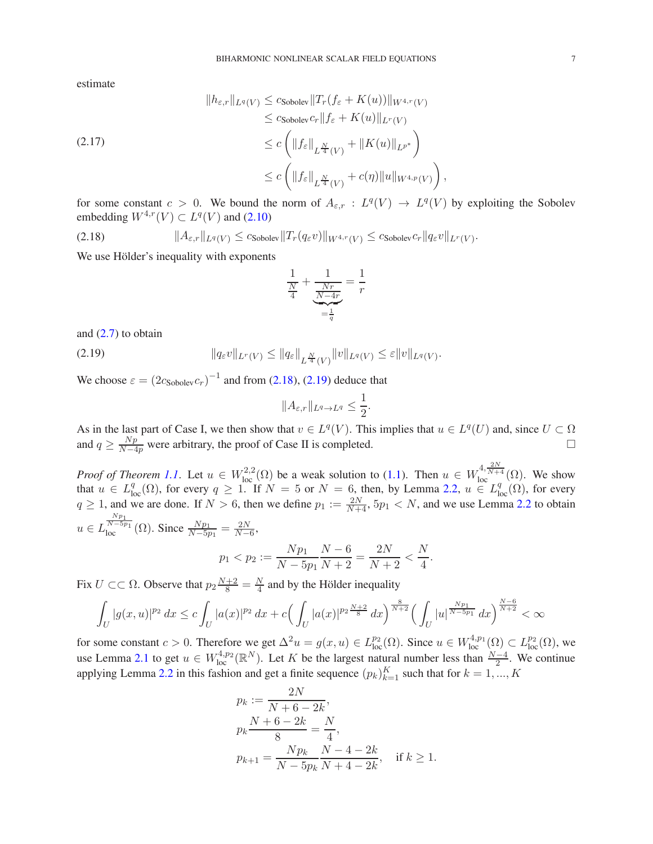estimate

$$
||h_{\varepsilon,r}||_{L^q(V)} \leq c_{\text{Sobolev}}||T_r(f_{\varepsilon} + K(u))||_{W^{4,r}(V)}
$$
  
\n
$$
\leq c_{\text{Sobolev}}c_r||f_{\varepsilon} + K(u)||_{L^r(V)}
$$
  
\n
$$
\leq c \left( ||f_{\varepsilon}||_{L^{\frac{N}{4}}(V)} + ||K(u)||_{L^{p^*}} \right)
$$
  
\n
$$
\leq c \left( ||f_{\varepsilon}||_{L^{\frac{N}{4}}(V)} + c(\eta) ||u||_{W^{4,p}(V)} \right)
$$

for some constant  $c > 0$ . We bound the norm of  $A_{\varepsilon,r} : L^q(V) \to L^q(V)$  by exploiting the Sobolev embedding  $W^{4,r}(V) \subset L^q(V)$  and [\(2.10\)](#page-4-4)

,

.

<span id="page-6-0"></span>
$$
(2.18) \t\t\t ||A_{\varepsilon,r}||_{L^q(V)} \leq c_{\text{Sobolev}}||T_r(q_{\varepsilon}v)||_{W^{4,r}(V)} \leq c_{\text{Sobolev}}c_r||q_{\varepsilon}v||_{L^r(V)}.
$$

We use Hölder's inequality with exponents

$$
\frac{\frac{1}{N}}{\frac{Nr}{4}} + \underbrace{\frac{Nr}{N-4r}}_{=\frac{1}{q}} = \frac{1}{r}
$$

and  $(2.7)$  to obtain

(2.19) 
$$
\|q_{\varepsilon}v\|_{L^{r}(V)} \leq \|q_{\varepsilon}\|_{L^{\frac{N}{4}}(V)}\|v\|_{L^{q}(V)} \leq \varepsilon\|v\|_{L^{q}(V)}
$$

We choose  $\varepsilon = (2c_{\text{Sobolev}}c_r)^{-1}$  and from [\(2.18\)](#page-6-0), [\(2.19\)](#page-6-1) deduce that

<span id="page-6-1"></span>
$$
||A_{\varepsilon,r}||_{L^q\to L^q}\leq\frac{1}{2}.
$$

As in the last part of Case I, we then show that  $v \in L^q(V)$ . This implies that  $u \in L^q(U)$  and, since  $U \subset \Omega$ and  $q \ge \frac{Np}{N-4p}$  were arbitrary, the proof of Case II is completed.

*Proof of Theorem [1.1](#page-1-1).* Let  $u \in W^{2,2}_{loc}(\Omega)$  be a weak solution to [\(1.1\)](#page-0-0). Then  $u \in W^{4,\frac{2N}{N+4}}_{loc}(\Omega)$ . We show that  $u \in L^q_{loc}(\Omega)$ , for every  $q \geq 1$ . If  $N = 5$  or  $N = 6$ , then, by Lemma [2.2,](#page-3-2)  $u \in L^q_{loc}(\Omega)$ , for every  $q \ge 1$ , and we are done. If  $N > 6$ , then we define  $p_1 := \frac{2N}{N+4}$ ,  $5p_1 < N$ , and we use Lemma [2.2](#page-3-2) to obtain  $u \in L$  $\frac{Np_1}{N-5p_1}$  ( $\Omega$ ). Since  $\frac{Np_1}{N-5p_1} = \frac{2N}{N-6}$ ,

$$
1 < p_2 := \frac{Np_1}{N - 5p_1} \frac{N - 6}{N + 2} = \frac{2N}{N + 2} < \frac{N}{4}.
$$

Fix  $U \subset\subset \Omega$ . Observe that  $p_2 \frac{N+2}{8} = \frac{N}{4}$  $\frac{N}{4}$  and by the Hölder inequality

 $p$ 

$$
\int_{U} |g(x,u)|^{p_2} dx \leq c \int_{U} |a(x)|^{p_2} dx + c \Big( \int_{U} |a(x)|^{p_2 \frac{N+2}{8}} dx \Big)^{\frac{8}{N+2}} \Big( \int_{U} |u|^{\frac{Np_1}{N-5p_1}} dx \Big)^{\frac{N-6}{N+2}} < \infty
$$

for some constant  $c > 0$ . Therefore we get  $\Delta^2 u = g(x, u) \in L^{p_2}_{loc}(\Omega)$ . Since  $u \in W^{4, p_1}_{loc}(\Omega) \subset L^{p_2}_{loc}(\Omega)$ , we use Lemma [2.1](#page-3-1) to get  $u \in W^{4,p_2}_{loc}(\mathbb{R}^N)$ . Let K be the largest natural number less than  $\frac{N-4}{2}$ . We continue applying Lemma [2.2](#page-3-2) in this fashion and get a finite sequence  $(p_k)_{k=1}^K$  such that for  $k = 1, ..., K$ 

$$
p_k := \frac{2N}{N+6-2k},
$$
  
\n
$$
p_k \frac{N+6-2k}{8} = \frac{N}{4},
$$
  
\n
$$
p_{k+1} = \frac{Np_k}{N-5p_k} \frac{N-4-2k}{N+4-2k}, \quad \text{if } k \ge 1.
$$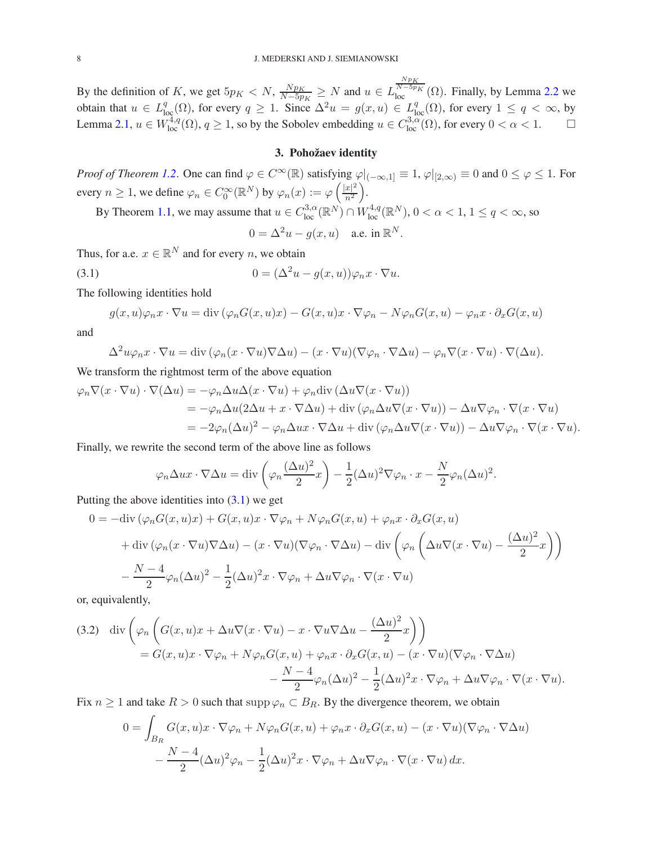By the definition of K, we get  $5p<sub>K</sub> < N$ ,  $\frac{Np<sub>K</sub>}{N-5p}$  $\frac{N p_{K}}{N-5p_{K}} \geq N$  and  $u \in L$  $\frac{Np_K}{N-5p_K}(\Omega)$ . Finally, by Lemma [2.2](#page-3-2) we obtain that  $u \in L^q_{loc}(\Omega)$ , for every  $q \ge 1$ . Since  $\Delta^2 u = g(x, u) \in L^q_{loc}(\Omega)$ , for every  $1 \le q < \infty$ , by Lemma [2.1,](#page-3-1)  $u \in W^{4,q}_{loc}(\Omega)$ ,  $q \ge 1$ , so by the Sobolev embedding  $u \in C^{3,\alpha}_{loc}(\Omega)$ , for every  $0 < \alpha < 1$ .

# 3. Pohožaev identity

<span id="page-7-0"></span>*Proof of Theorem [1.2](#page-1-2)*. One can find  $\varphi \in C^{\infty}(\mathbb{R})$  satisfying  $\varphi|_{(-\infty,1]} \equiv 1$ ,  $\varphi|_{[2,\infty)} \equiv 0$  and  $0 \le \varphi \le 1$ . For every  $n \geq 1$ , we define  $\varphi_n \in C_0^{\infty}(\mathbb{R}^N)$  by  $\varphi_n(x) := \varphi\left(\frac{|x|^2}{n^2}\right)$  $n<sup>2</sup>$ .

By Theorem [1.1,](#page-1-1) we may assume that  $u \in C^{3,\alpha}_{loc}(\mathbb{R}^N) \cap W^{4,q}_{loc}(\mathbb{R}^N)$ ,  $0 < \alpha < 1$ ,  $1 \le q < \infty$ , so

<span id="page-7-1"></span> $0 = \Delta^2 u - g(x, u)$  a.e. in  $\mathbb{R}^N$ .

Thus, for a.e.  $x \in \mathbb{R}^N$  and for every n, we obtain

(3.1) 
$$
0 = (\Delta^2 u - g(x, u))\varphi_n x \cdot \nabla u.
$$

The following identities hold

$$
g(x, u)\varphi_n x \cdot \nabla u = \text{div}(\varphi_n G(x, u)x) - G(x, u)x \cdot \nabla \varphi_n - N\varphi_n G(x, u) - \varphi_n x \cdot \partial_x G(x, u)
$$

and

$$
\Delta^2 u \varphi_n x \cdot \nabla u = \text{div} \left( \varphi_n (x \cdot \nabla u) \nabla \Delta u \right) - (x \cdot \nabla u) (\nabla \varphi_n \cdot \nabla \Delta u) - \varphi_n \nabla (x \cdot \nabla u) \cdot \nabla (\Delta u).
$$

We transform the rightmost term of the above equation

$$
\varphi_n \nabla (x \cdot \nabla u) \cdot \nabla (\Delta u) = -\varphi_n \Delta u \Delta (x \cdot \nabla u) + \varphi_n \text{div} (\Delta u \nabla (x \cdot \nabla u))
$$
  
=  $-\varphi_n \Delta u (2\Delta u + x \cdot \nabla \Delta u) + \text{div} (\varphi_n \Delta u \nabla (x \cdot \nabla u)) - \Delta u \nabla \varphi_n \cdot \nabla (x \cdot \nabla u)$   
=  $-2\varphi_n (\Delta u)^2 - \varphi_n \Delta u x \cdot \nabla \Delta u + \text{div} (\varphi_n \Delta u \nabla (x \cdot \nabla u)) - \Delta u \nabla \varphi_n \cdot \nabla (x \cdot \nabla u).$ 

Finally, we rewrite the second term of the above line as follows

$$
\varphi_n \Delta u x \cdot \nabla \Delta u = \text{div}\left(\varphi_n \frac{(\Delta u)^2}{2} x\right) - \frac{1}{2} (\Delta u)^2 \nabla \varphi_n \cdot x - \frac{N}{2} \varphi_n (\Delta u)^2.
$$

Putting the above identities into  $(3.1)$  we get

$$
0 = -\text{div}(\varphi_n G(x, u)x) + G(x, u)x \cdot \nabla \varphi_n + N\varphi_n G(x, u) + \varphi_n x \cdot \partial_x G(x, u)
$$
  
+ 
$$
\text{div}(\varphi_n (x \cdot \nabla u) \nabla \Delta u) - (x \cdot \nabla u)(\nabla \varphi_n \cdot \nabla \Delta u) - \text{div}(\varphi_n \left(\Delta u \nabla (x \cdot \nabla u) - \frac{(\Delta u)^2}{2}x\right))
$$
  
- 
$$
\frac{N-4}{2} \varphi_n (\Delta u)^2 - \frac{1}{2} (\Delta u)^2 x \cdot \nabla \varphi_n + \Delta u \nabla \varphi_n \cdot \nabla (x \cdot \nabla u)
$$

or, equivalently,

(3.2) div 
$$
\left(\varphi_n\left(G(x,u)x + \Delta u\nabla(x\cdot\nabla u) - x\cdot\nabla u\nabla\Delta u - \frac{(\Delta u)^2}{2}x\right)\right)
$$
  
=  $G(x,u)x\cdot\nabla\varphi_n + N\varphi_n G(x,u) + \varphi_n x\cdot\partial_x G(x,u) - (x\cdot\nabla u)(\nabla\varphi_n\cdot\nabla\Delta u)$   

$$
-\frac{N-4}{2}\varphi_n(\Delta u)^2 - \frac{1}{2}(\Delta u)^2 x\cdot\nabla\varphi_n + \Delta u\nabla\varphi_n\cdot\nabla(x\cdot\nabla u).
$$

Fix  $n \geq 1$  and take  $R > 0$  such that supp  $\varphi_n \subset B_R$ . By the divergence theorem, we obtain

$$
0 = \int_{B_R} G(x, u)x \cdot \nabla \varphi_n + N\varphi_n G(x, u) + \varphi_n x \cdot \partial_x G(x, u) - (x \cdot \nabla u)(\nabla \varphi_n \cdot \nabla \Delta u)
$$

$$
- \frac{N - 4}{2} (\Delta u)^2 \varphi_n - \frac{1}{2} (\Delta u)^2 x \cdot \nabla \varphi_n + \Delta u \nabla \varphi_n \cdot \nabla (x \cdot \nabla u) dx.
$$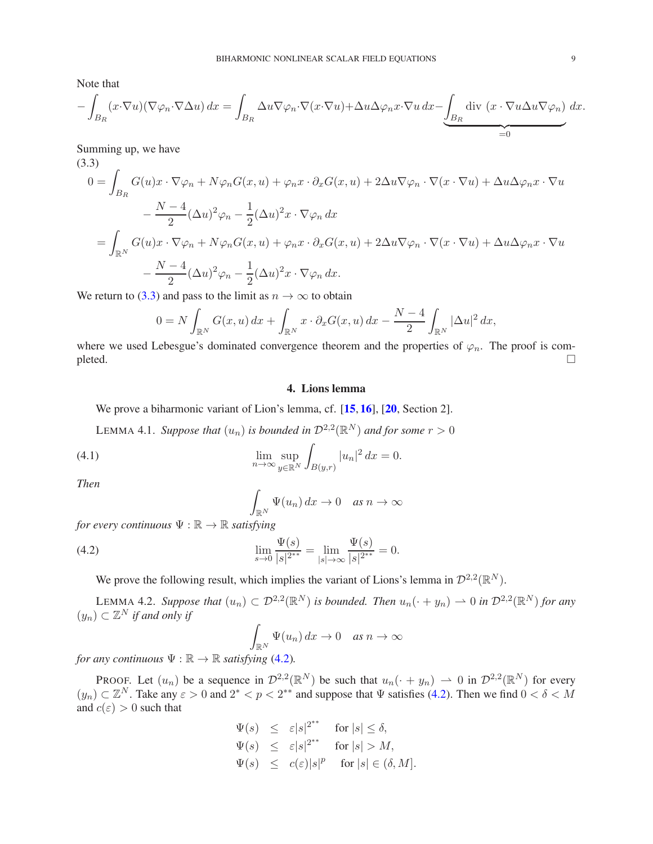Note that

$$
-\int_{B_R} (x \cdot \nabla u)(\nabla \varphi_n \cdot \nabla \Delta u) dx = \int_{B_R} \Delta u \nabla \varphi_n \cdot \nabla (x \cdot \nabla u) + \Delta u \Delta \varphi_n x \cdot \nabla u dx - \underbrace{\int_{B_R} \text{div} (x \cdot \nabla u \Delta u \nabla \varphi_n) dx}_{=0}.
$$

Summing up, we have

<span id="page-8-2"></span>(3.3)  
\n
$$
0 = \int_{B_R} G(u)x \cdot \nabla \varphi_n + N\varphi_n G(x, u) + \varphi_n x \cdot \partial_x G(x, u) + 2\Delta u \nabla \varphi_n \cdot \nabla (x \cdot \nabla u) + \Delta u \Delta \varphi_n x \cdot \nabla u
$$
\n
$$
- \frac{N-4}{2} (\Delta u)^2 \varphi_n - \frac{1}{2} (\Delta u)^2 x \cdot \nabla \varphi_n dx
$$
\n
$$
= \int_{\mathbb{R}^N} G(u)x \cdot \nabla \varphi_n + N\varphi_n G(x, u) + \varphi_n x \cdot \partial_x G(x, u) + 2\Delta u \nabla \varphi_n \cdot \nabla (x \cdot \nabla u) + \Delta u \Delta \varphi_n x \cdot \nabla u
$$
\n
$$
- \frac{N-4}{2} (\Delta u)^2 \varphi_n - \frac{1}{2} (\Delta u)^2 x \cdot \nabla \varphi_n dx.
$$

We return to [\(3.3\)](#page-8-2) and pass to the limit as  $n \to \infty$  to obtain

$$
0 = N \int_{\mathbb{R}^N} G(x, u) dx + \int_{\mathbb{R}^N} x \cdot \partial_x G(x, u) dx - \frac{N-4}{2} \int_{\mathbb{R}^N} |\Delta u|^2 dx,
$$

<span id="page-8-0"></span>where we used Lebesgue's dominated convergence theorem and the properties of  $\varphi_n$ . The proof is com $p$  pleted.

# 4. Lions lemma

We prove a biharmonic variant of Lion's lemma, cf. [[15](#page-19-16), [16](#page-19-17)], [[20](#page-19-9), Section 2].

<span id="page-8-1"></span>LEMMA 4.1. Suppose that  $(u_n)$  is bounded in  $\mathcal{D}^{2,2}(\mathbb{R}^N)$  and for some  $r > 0$ 

(4.1) 
$$
\lim_{n \to \infty} \sup_{y \in \mathbb{R}^N} \int_{B(y,r)} |u_n|^2 dx = 0.
$$

*Then*

<span id="page-8-4"></span><span id="page-8-3"></span>
$$
\int_{\mathbb{R}^N} \Psi(u_n) \, dx \to 0 \quad \text{as } n \to \infty
$$

*for every continuous*  $\Psi : \mathbb{R} \to \mathbb{R}$  *satisfying* 

(4.2) 
$$
\lim_{s \to 0} \frac{\Psi(s)}{|s|^{2^{**}}} = \lim_{|s| \to \infty} \frac{\Psi(s)}{|s|^{2^{**}}} = 0.
$$

We prove the following result, which implies the variant of Lions's lemma in  $\mathcal{D}^{2,2}(\mathbb{R}^N)$ .

<span id="page-8-5"></span>LEMMA 4.2. Suppose that  $(u_n) \subset \mathcal{D}^{2,2}(\mathbb{R}^N)$  is bounded. Then  $u_n(\cdot + y_n) \to 0$  in  $\mathcal{D}^{2,2}(\mathbb{R}^N)$  for any  $(y_n)$  ⊂  $\mathbb{Z}^N$  *if and only if* 

$$
\int_{\mathbb{R}^N} \Psi(u_n) \, dx \to 0 \quad \text{as } n \to \infty
$$

*for any continuous*  $\Psi : \mathbb{R} \to \mathbb{R}$  *satisfying* [\(4.2\)](#page-8-3).

PROOF. Let  $(u_n)$  be a sequence in  $\mathcal{D}^{2,2}(\mathbb{R}^N)$  be such that  $u_n(\cdot + y_n) \rightharpoonup 0$  in  $\mathcal{D}^{2,2}(\mathbb{R}^N)$  for every  $(y_n) \subset \mathbb{Z}^N$ . Take any  $\varepsilon > 0$  and  $2^* < p < 2^{**}$  and suppose that  $\Psi$  satisfies [\(4.2\)](#page-8-3). Then we find  $0 < \delta < M$ and  $c(\varepsilon) > 0$  such that

> $\Psi(s) \leq \varepsilon |s|^{2^{**}} \quad \text{for } |s| \leq \delta,$  $\Psi(s) \leq \varepsilon |s|^{2^{**}} \quad \text{for } |s| > M,$  $\Psi(s) \leq c(\varepsilon)|s|^p$  for  $|s| \in (\delta, M]$ .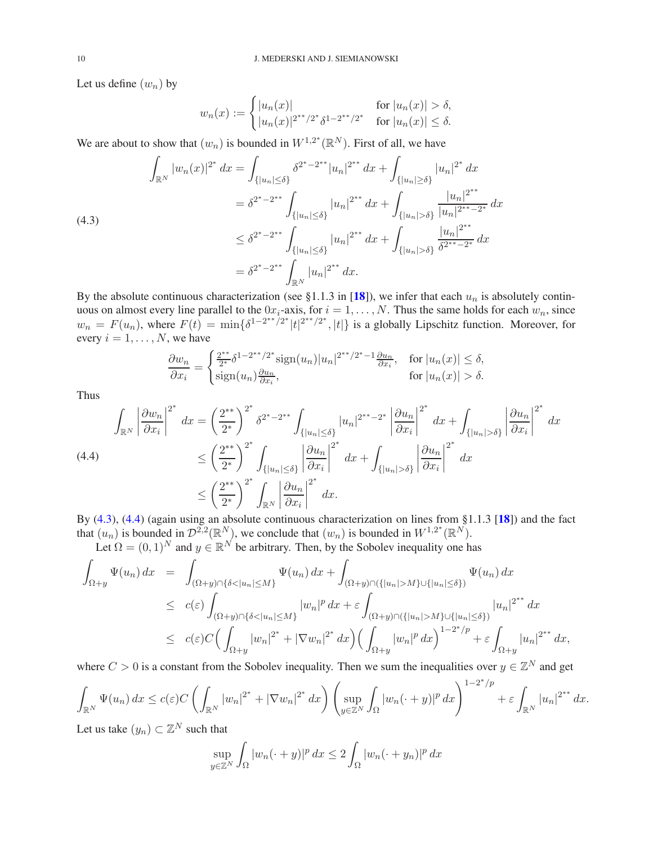Let us define  $(w_n)$  by

$$
w_n(x) := \begin{cases} |u_n(x)| & \text{for } |u_n(x)| > \delta, \\ |u_n(x)|^{2^{**}/2^*} \delta^{1-2^{**}/2^*} & \text{for } |u_n(x)| \le \delta. \end{cases}
$$

We are about to show that  $(w_n)$  is bounded in  $W^{1,2^*}(\mathbb{R}^N)$ . First of all, we have

<span id="page-9-0"></span>
$$
\int_{\mathbb{R}^N} |w_n(x)|^{2^*} dx = \int_{\{|u_n| \le \delta\}} \delta^{2^* - 2^{**}} |u_n|^{2^{**}} dx + \int_{\{|u_n| \ge \delta\}} |u_n|^{2^*} dx
$$
\n
$$
= \delta^{2^* - 2^{**}} \int_{\{|u_n| \le \delta\}} |u_n|^{2^{**}} dx + \int_{\{|u_n| > \delta\}} \frac{|u_n|^{2^{**}}}{|u_n|^{2^{**}} - 2^*} dx
$$
\n
$$
\le \delta^{2^* - 2^{**}} \int_{\{|u_n| \le \delta\}} |u_n|^{2^{**}} dx + \int_{\{|u_n| > \delta\}} \frac{|u_n|^{2^{**}}}{\delta^{2^{**} - 2^*}} dx
$$
\n
$$
= \delta^{2^* - 2^{**}} \int_{\mathbb{R}^N} |u_n|^{2^{**}} dx.
$$

By the absolute continuous characterization (see §1.1.3 in [[18](#page-19-18)]), we infer that each  $u_n$  is absolutely continuous on almost every line parallel to the  $0x_i$ -axis, for  $i = 1, ..., N$ . Thus the same holds for each  $w_n$ , since  $w_n = F(u_n)$ , where  $F(t) = \min\{\delta^{1-2^{**}/2^*}|t|^{2^{**}/2^*}, |t|\}$  is a globally Lipschitz function. Moreover, for every  $i = 1, \ldots, N$ , we have

$$
\frac{\partial w_n}{\partial x_i} = \begin{cases} \frac{2^{**}}{2^*} \delta^{1 - 2^{**}/2^*} \text{sign}(u_n) |u_n|^{2^{**}/2^*-1} \frac{\partial u_n}{\partial x_i}, & \text{for } |u_n(x)| \le \delta, \\ \text{sign}(u_n) \frac{\partial u_n}{\partial x_i}, & \text{for } |u_n(x)| > \delta. \end{cases}
$$

Thus

<span id="page-9-1"></span>
$$
\int_{\mathbb{R}^N} \left| \frac{\partial w_n}{\partial x_i} \right|^{2^*} dx = \left( \frac{2^{**}}{2^*} \right)^{2^*} \delta^{2^*-2^{**}} \int_{\{|u_n| \le \delta\}} |u_n|^{2^{**}-2^*} \left| \frac{\partial u_n}{\partial x_i} \right|^{2^*} dx + \int_{\{|u_n| > \delta\}} \left| \frac{\partial u_n}{\partial x_i} \right|^{2^*} dx
$$
\n
$$
\leq \left( \frac{2^{**}}{2^*} \right)^{2^*} \int_{\{|u_n| \le \delta\}} \left| \frac{\partial u_n}{\partial x_i} \right|^{2^*} dx + \int_{\{|u_n| > \delta\}} \left| \frac{\partial u_n}{\partial x_i} \right|^{2^*} dx
$$
\n
$$
\leq \left( \frac{2^{**}}{2^*} \right)^{2^*} \int_{\mathbb{R}^N} \left| \frac{\partial u_n}{\partial x_i} \right|^{2^*} dx.
$$
\n2. (4.2) (4.0) (4.0) (1.0) (1.0)

By [\(4.3\)](#page-9-0), [\(4.4\)](#page-9-1) (again using an absolute continuous characterization on lines from §1.1.3 [[18](#page-19-18)]) and the fact that  $(u_n)$  is bounded in  $\mathcal{D}^{2,2}(\mathbb{R}^N)$ , we conclude that  $(w_n)$  is bounded in  $W^{1,2^*}(\mathbb{R}^N)$ .

Let  $\Omega = (0, 1)^N$  and  $y \in \mathbb{R}^N$  be arbitrary. Then, by the Sobolev inequality one has

$$
\int_{\Omega+y} \Psi(u_n) dx = \int_{(\Omega+y)\cap{\{\delta<|u_n|\leq M\}}}\Psi(u_n) dx + \int_{(\Omega+y)\cap({{|u_n|>M}\cup{{|u_n|\leq \delta}}})}\Psi(u_n) dx
$$
\n
$$
\leq c(\varepsilon) \int_{(\Omega+y)\cap{\{\delta<|u_n|\leq M\}}}|w_n|^p dx + \varepsilon \int_{(\Omega+y)\cap({{|u_n|>M}\cup{{|u_n|\leq \delta}}})} |u_n|^{2^{**}} dx
$$
\n
$$
\leq c(\varepsilon)C\Big(\int_{\Omega+y} |w_n|^{2^{*}} + |\nabla w_n|^{2^{*}} dx\Big) \Big(\int_{\Omega+y} |w_n|^p dx\Big)^{1-2^{*}/p} + \varepsilon \int_{\Omega+y} |u_n|^{2^{**}} dx,
$$

where  $C > 0$  is a constant from the Sobolev inequality. Then we sum the inequalities over  $y \in \mathbb{Z}^N$  and get

$$
\int_{\mathbb{R}^N} \Psi(u_n) dx \le c(\varepsilon) C \left( \int_{\mathbb{R}^N} |w_n|^{2^*} + |\nabla w_n|^{2^*} dx \right) \left( \sup_{y \in \mathbb{Z}^N} \int_{\Omega} |w_n(\cdot + y)|^p dx \right)^{1 - 2^*/p} + \varepsilon \int_{\mathbb{R}^N} |u_n|^{2^{**}} dx.
$$

Let us take  $(y_n) \subset \mathbb{Z}^N$  such that

$$
\sup_{y\in\mathbb{Z}^N}\int_{\Omega}|w_n(\cdot+y)|^p\,dx\leq 2\int_{\Omega}|w_n(\cdot+y_n)|^p\,dx
$$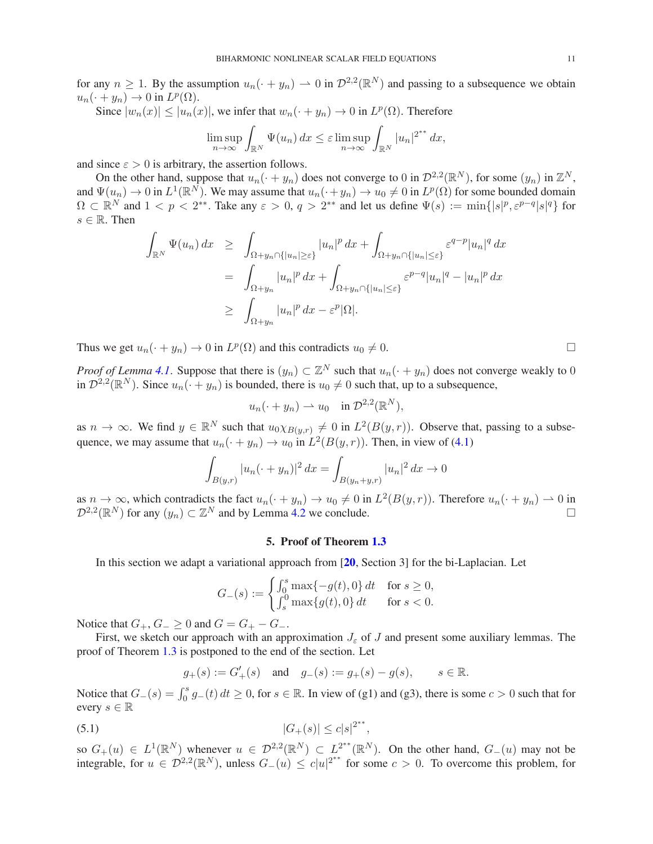for any  $n \ge 1$ . By the assumption  $u_n(\cdot + y_n) \to 0$  in  $\mathcal{D}^{2,2}(\mathbb{R}^N)$  and passing to a subsequence we obtain  $u_n(\cdot + y_n) \to 0$  in  $L^p(\Omega)$ .

Since  $|w_n(x)| \le |u_n(x)|$ , we infer that  $w_n(\cdot + y_n) \to 0$  in  $L^p(\Omega)$ . Therefore

$$
\limsup_{n\to\infty}\int_{\mathbb{R}^N}\Psi(u_n)\,dx\leq \varepsilon \limsup_{n\to\infty}\int_{\mathbb{R}^N}|u_n|^{2^{**}}\,dx,
$$

and since  $\varepsilon > 0$  is arbitrary, the assertion follows.

On the other hand, suppose that  $u_n(\cdot + y_n)$  does not converge to 0 in  $\mathcal{D}^{2,2}(\mathbb{R}^N)$ , for some  $(y_n)$  in  $\mathbb{Z}^N$ , and  $\Psi(u_n) \to 0$  in  $L^1(\mathbb{R}^N)$ . We may assume that  $u_n(\cdot + y_n) \to u_0 \neq 0$  in  $L^p(\Omega)$  for some bounded domain  $\Omega \subset \mathbb{R}^N$  and  $1 < p < 2^{**}$ . Take any  $\varepsilon > 0$ ,  $q > 2^{**}$  and let us define  $\Psi(s) := \min\{|s|^p, \varepsilon^{p-q}|s|^q\}$  for  $s \in \mathbb{R}$ . Then

$$
\int_{\mathbb{R}^N} \Psi(u_n) dx \ge \int_{\Omega + y_n \cap \{|u_n| \ge \varepsilon\}} |u_n|^p dx + \int_{\Omega + y_n \cap \{|u_n| \le \varepsilon\}} \varepsilon^{q-p} |u_n|^q dx
$$
  
\n
$$
= \int_{\Omega + y_n} |u_n|^p dx + \int_{\Omega + y_n \cap \{|u_n| \le \varepsilon\}} \varepsilon^{p-q} |u_n|^q - |u_n|^p dx
$$
  
\n
$$
\ge \int_{\Omega + y_n} |u_n|^p dx - \varepsilon^p |\Omega|.
$$

Thus we get  $u_n(\cdot + y_n) \to 0$  in  $L^p(\Omega)$  and this contradicts  $u_0 \neq 0$ .

*Proof of Lemma [4.1](#page-8-1)*. Suppose that there is  $(y_n) \subset \mathbb{Z}^N$  such that  $u_n(\cdot + y_n)$  does not converge weakly to 0 in  $\mathcal{D}^{2,2}(\mathbb{R}^N)$ . Since  $u_n(\cdot+y_n)$  is bounded, there is  $u_0\neq 0$  such that, up to a subsequence,

$$
u_n(\cdot+y_n)\rightharpoonup u_0 \quad \text{in } \mathcal{D}^{2,2}(\mathbb{R}^N),
$$

as  $n \to \infty$ . We find  $y \in \mathbb{R}^N$  such that  $u_0 \chi_{B(y,r)} \neq 0$  in  $L^2(B(y,r))$ . Observe that, passing to a subsequence, we may assume that  $u_n(\cdot + y_n) \to u_0$  in  $L^2(B(y, r))$ . Then, in view of [\(4.1\)](#page-8-4)

$$
\int_{B(y,r)} |u_n(\cdot + y_n)|^2 \, dx = \int_{B(y_n + y, r)} |u_n|^2 \, dx \to 0
$$

<span id="page-10-0"></span>as  $n \to \infty$ , which contradicts the fact  $u_n(\cdot + y_n) \to u_0 \neq 0$  in  $L^2(B(y, r))$ . Therefore  $u_n(\cdot + y_n) \to 0$  in  $\mathcal{D}^{2,2}(\mathbb{R}^N)$  for any  $(y_n) \subset \mathbb{Z}^N$  and by Lemma [4.2](#page-8-5) we conclude.

#### 5. Proof of Theorem [1.3](#page-2-0)

In this section we adapt a variational approach from  $[20, \text{Section 3}]$  $[20, \text{Section 3}]$  $[20, \text{Section 3}]$  for the bi-Laplacian. Let

$$
G_{-}(s) := \begin{cases} \int_0^s \max\{-g(t), 0\} dt & \text{for } s \ge 0, \\ \int_s^0 \max\{g(t), 0\} dt & \text{for } s < 0. \end{cases}
$$

Notice that  $G_+$ ,  $G_- \geq 0$  and  $G = G_+ - G_-$ .

First, we sketch our approach with an approximation  $J_{\varepsilon}$  of J and present some auxiliary lemmas. The proof of Theorem [1.3](#page-2-0) is postponed to the end of the section. Let

<span id="page-10-1"></span>
$$
g_+(s) := G'_+(s) \quad \text{and} \quad g_-(s) := g_+(s) - g(s), \qquad s \in \mathbb{R}.
$$

Notice that  $G_{-}(s) = \int_0^s g_{-}(t) dt \ge 0$ , for  $s \in \mathbb{R}$ . In view of (g1) and (g3), there is some  $c > 0$  such that for every  $s \in \mathbb{R}$ 

(5.1) 
$$
|G_{+}(s)| \leq c|s|^{2^{**}},
$$

so  $G_+(u) \in L^1(\mathbb{R}^N)$  whenever  $u \in \mathcal{D}^{2,2}(\mathbb{R}^N) \subset L^{2^{**}}(\mathbb{R}^N)$ . On the other hand,  $G_-(u)$  may not be integrable, for  $u \in \mathcal{D}^{2,2}(\mathbb{R}^N)$ , unless  $G_-(u) \leq c|u|^{2^{**}}$  for some  $c > 0$ . To overcome this problem, for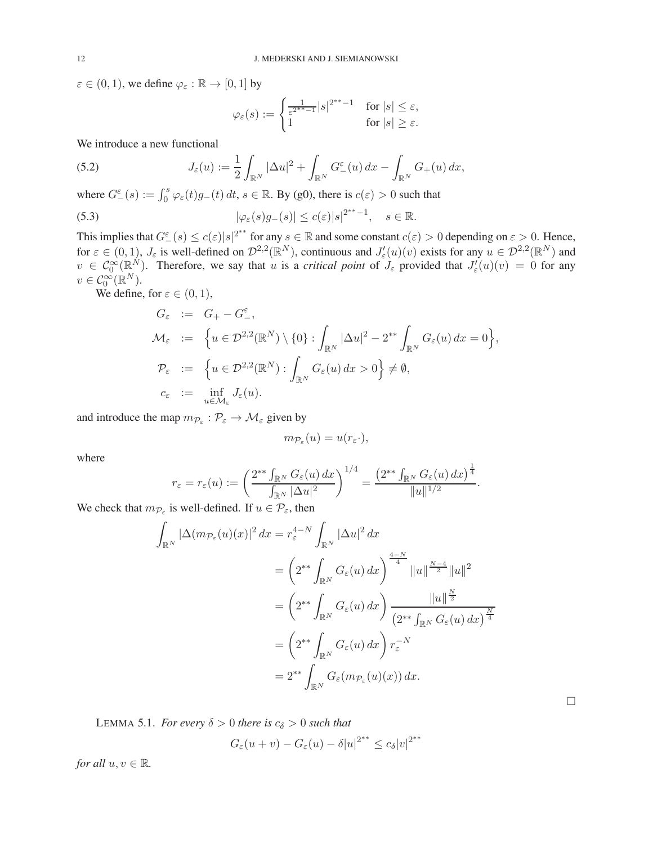$\varepsilon \in (0, 1)$ , we define  $\varphi_{\varepsilon} : \mathbb{R} \to [0, 1]$  by

<span id="page-11-0"></span>
$$
\varphi_\varepsilon(s):=\begin{cases}\frac{1}{\varepsilon^{2^{**}-1}}|s|^{2^{**}-1} & \text{for } |s|\leq \varepsilon,\\1 & \text{for } |s|\geq \varepsilon.\end{cases}
$$

We introduce a new functional

(5.2) 
$$
J_{\varepsilon}(u) := \frac{1}{2} \int_{\mathbb{R}^N} |\Delta u|^2 + \int_{\mathbb{R}^N} G_{-}^{\varepsilon}(u) dx - \int_{\mathbb{R}^N} G_{+}(u) dx,
$$

where  $G_{-}^{\varepsilon}(s) := \int_0^s \varphi_{\varepsilon}(t) g_{-}(t) dt$ ,  $s \in \mathbb{R}$ . By (g0), there is  $c(\varepsilon) > 0$  such that

(5.3) 
$$
|\varphi_{\varepsilon}(s)g_{-}(s)| \leq c(\varepsilon)|s|^{2^{**}-1}, \quad s \in \mathbb{R}.
$$

This implies that  $G_{-}^{\varepsilon}(s) \le c(\varepsilon)|s|^{2^{**}}$  for any  $s \in \mathbb{R}$  and some constant  $c(\varepsilon) > 0$  depending on  $\varepsilon > 0$ . Hence, for  $\varepsilon \in (0,1)$ ,  $J_{\varepsilon}$  is well-defined on  $\mathcal{D}^{2,2}(\mathbb{R}^N)$ , continuous and  $J'_{\varepsilon}(u)(v)$  exists for any  $u \in \mathcal{D}^{2,2}(\mathbb{R}^N)$  and  $v \in C_0^{\infty}(\mathbb{R}^N)$ . Therefore, we say that u is a *critical point* of  $J_{\varepsilon}$  provided that  $J'_{\varepsilon}(u)(v) = 0$  for any  $v\in\mathcal{C}_0^{\infty}(\mathbb{R}^N).$ 

We define, for  $\varepsilon \in (0,1)$ ,

$$
G_{\varepsilon} := G_{+} - G_{-}^{\varepsilon},
$$
  
\n
$$
\mathcal{M}_{\varepsilon} := \left\{ u \in \mathcal{D}^{2,2}(\mathbb{R}^{N}) \setminus \{0\} : \int_{\mathbb{R}^{N}} |\Delta u|^{2} - 2^{**} \int_{\mathbb{R}^{N}} G_{\varepsilon}(u) dx = 0 \right\},
$$
  
\n
$$
\mathcal{P}_{\varepsilon} := \left\{ u \in \mathcal{D}^{2,2}(\mathbb{R}^{N}) : \int_{\mathbb{R}^{N}} G_{\varepsilon}(u) dx > 0 \right\} \neq \emptyset,
$$
  
\n
$$
c_{\varepsilon} := \inf_{u \in \mathcal{M}_{\varepsilon}} J_{\varepsilon}(u).
$$

and introduce the map  $m_{\mathcal{P}_{\varepsilon}} : \mathcal{P}_{\varepsilon} \to \mathcal{M}_{\varepsilon}$  given by

$$
m_{\mathcal{P}_{\varepsilon}}(u)=u(r_{\varepsilon}\cdot),
$$

where

$$
r_{\varepsilon} = r_{\varepsilon}(u) := \left(\frac{2^{**} \int_{\mathbb{R}^N} G_{\varepsilon}(u) dx}{\int_{\mathbb{R}^N} |\Delta u|^2}\right)^{1/4} = \frac{\left(2^{**} \int_{\mathbb{R}^N} G_{\varepsilon}(u) dx\right)^{\frac{1}{4}}}{\|u\|^{1/2}}.
$$

We check that  $m_{\mathcal{P}_{\varepsilon}}$  is well-defined. If  $u \in \mathcal{P}_{\varepsilon}$ , then

$$
\int_{\mathbb{R}^N} |\Delta(m_{\mathcal{P}_{\varepsilon}}(u)(x)|^2 dx = r_{\varepsilon}^{4-N} \int_{\mathbb{R}^N} |\Delta u|^2 dx
$$
  
\n
$$
= \left(2^{**} \int_{\mathbb{R}^N} G_{\varepsilon}(u) dx\right)^{\frac{4-N}{4}} \|u\|^{\frac{N-4}{2}} \|u\|^2
$$
  
\n
$$
= \left(2^{**} \int_{\mathbb{R}^N} G_{\varepsilon}(u) dx\right) \frac{\|u\|^{\frac{N}{2}}}{\left(2^{**} \int_{\mathbb{R}^N} G_{\varepsilon}(u) dx\right)^{\frac{N}{4}}}
$$
  
\n
$$
= \left(2^{**} \int_{\mathbb{R}^N} G_{\varepsilon}(u) dx\right) r_{\varepsilon}^{-N}
$$
  
\n
$$
= 2^{**} \int_{\mathbb{R}^N} G_{\varepsilon}(m_{\mathcal{P}_{\varepsilon}}(u)(x)) dx.
$$

 $\Box$ 

<span id="page-11-1"></span>LEMMA 5.1. *For every*  $\delta > 0$  *there is*  $c_{\delta} > 0$  *such that* 

$$
G_{\varepsilon}(u+v) - G_{\varepsilon}(u) - \delta |u|^{2^{**}} \le c_{\delta} |v|^{2^{**}}
$$

*for all*  $u, v \in \mathbb{R}$ *.*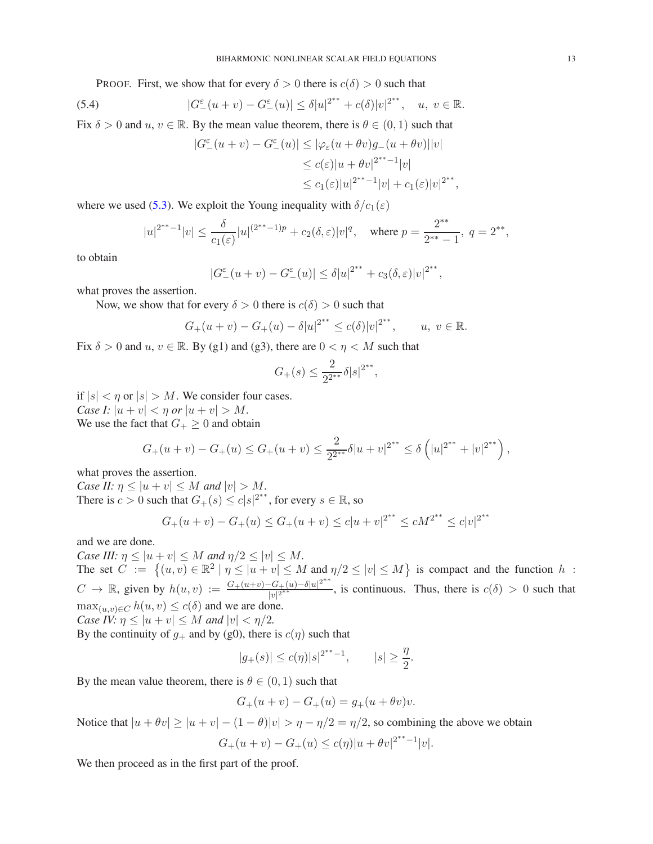PROOF. First, we show that for every  $\delta > 0$  there is  $c(\delta) > 0$  such that

(5.4) 
$$
|G_{-}^{\varepsilon}(u+v)-G_{-}^{\varepsilon}(u)|\leq \delta |u|^{2^{**}}+c(\delta)|v|^{2^{**}}, \quad u, v \in \mathbb{R}.
$$

Fix  $\delta > 0$  and  $u, v \in \mathbb{R}$ . By the mean value theorem, there is  $\theta \in (0, 1)$  such that

$$
|G_{-}^{\varepsilon}(u+v) - G_{-}^{\varepsilon}(u)| \leq |\varphi_{\varepsilon}(u+\theta v)g_{-}(u+\theta v)||v|
$$
  
\n
$$
\leq c(\varepsilon)|u+\theta v|^{2^{**}-1}|v|
$$
  
\n
$$
\leq c_1(\varepsilon)|u|^{2^{**}-1}|v| + c_1(\varepsilon)|v|^{2^{**}},
$$

where we used [\(5.3\)](#page-11-0). We exploit the Young inequality with  $\delta/c_1(\varepsilon)$ 

$$
|u|^{2^{**}-1}|v| \leq \frac{\delta}{c_1(\varepsilon)}|u|^{(2^{**}-1)p} + c_2(\delta,\varepsilon)|v|^q, \quad \text{where } p = \frac{2^{**}}{2^{**}-1}, \ q = 2^{**},
$$

to obtain

$$
|G_{-}^{\varepsilon}(u+v)-G_{-}^{\varepsilon}(u)| \leq \delta |u|^{2^{**}} + c_3(\delta,\varepsilon)|v|^{2^{**}},
$$

what proves the assertion.

Now, we show that for every  $\delta > 0$  there is  $c(\delta) > 0$  such that

$$
G_{+}(u+v) - G_{+}(u) - \delta |u|^{2^{**}} \leq c(\delta) |v|^{2^{**}}, \quad u, v \in \mathbb{R}.
$$

Fix  $\delta > 0$  and  $u, v \in \mathbb{R}$ . By (g1) and (g3), there are  $0 < \eta < M$  such that

$$
G_{+}(s) \le \frac{2}{2^{2^{**}}} \delta |s|^{2^{**}},
$$

if  $|s| < \eta$  or  $|s| > M$ . We consider four cases. *Case I:*  $|u + v| < \eta$  *or*  $|u + v| > M$ . We use the fact that  $G_+ \geq 0$  and obtain

$$
G_{+}(u+v)-G_{+}(u)\leq G_{+}(u+v)\leq \frac{2}{2^{2^{**}}}\delta |u+v|^{2^{**}}\leq \delta \left(|u|^{2^{**}}+|v|^{2^{**}}\right),
$$

what proves the assertion.

*Case II:*  $\eta \leq |u + v| \leq M$  *and*  $|v| > M$ *.* There is  $c > 0$  such that  $G_{+}(s) \leq c|s|^{2^{**}}$ , for every  $s \in \mathbb{R}$ , so

$$
G_{+}(u+v) - G_{+}(u) \le G_{+}(u+v) \le c|u+v|^{2^{**}} \le cM^{2^{**}} \le c|v|^{2^{**}}
$$

and we are done.

*Case III:*  $\eta \leq |u + v| \leq M$  *and*  $\eta/2 \leq |v| \leq M$ *.* The set  $C := \{(u, v) \in \mathbb{R}^2 \mid \eta \leq |u + v| \leq M \text{ and } \eta/2 \leq |v| \leq M\}$  is compact and the function h:  $C \to \mathbb{R}$ , given by  $h(u, v) := \frac{G_+(u+v) - G_+(u) - \delta |u|^{2^{**}}}{|u|^{2^{**}}}$  $\frac{C_1 - C_2 + (u) - o||u|}{|v|^{2^{**}}}$ , is continuous. Thus, there is  $c(\delta) > 0$  such that  $\max_{(u,v)\in C} h(u,v) \leq c(\delta)$  and we are done. *Case IV:*  $\eta \leq |u + v| \leq M$  *and*  $|v| < \eta/2$ *.* 

By the continuity of  $g_+$  and by (g0), there is  $c(\eta)$  such that

$$
|g_+(s)| \le c(\eta)|s|^{2^{**}-1}, \qquad |s| \ge \frac{\eta}{2}
$$

.

By the mean value theorem, there is  $\theta \in (0, 1)$  such that

$$
G_{+}(u + v) - G_{+}(u) = g_{+}(u + \theta v)v.
$$

Notice that  $|u + \theta v| > |u + v| - (1 - \theta)|v| > \eta - \eta/2 = \eta/2$ , so combining the above we obtain

$$
G_{+}(u+v) - G_{+}(u) \le c(\eta)|u + \theta v|^{2^{**}-1}|v|.
$$

We then proceed as in the first part of the proof.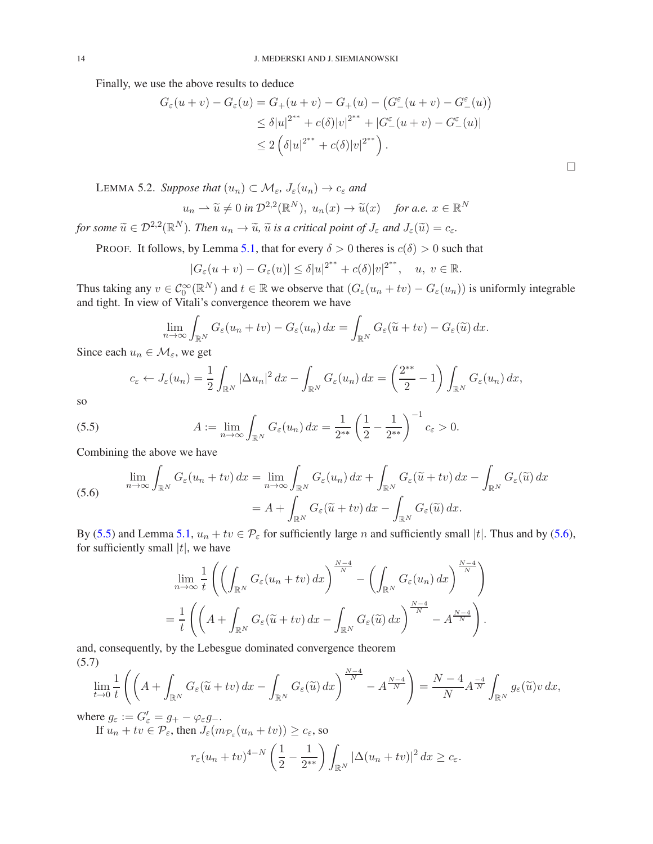Finally, we use the above results to deduce

$$
G_{\varepsilon}(u+v) - G_{\varepsilon}(u) = G_{+}(u+v) - G_{+}(u) - (G_{-}^{\varepsilon}(u+v) - G_{-}^{\varepsilon}(u))
$$
  
\n
$$
\leq \delta |u|^{2^{**}} + c(\delta)|v|^{2^{**}} + |G_{-}^{\varepsilon}(u+v) - G_{-}^{\varepsilon}(u)|
$$
  
\n
$$
\leq 2(\delta |u|^{2^{**}} + c(\delta)|v|^{2^{**}}).
$$

<span id="page-13-3"></span>LEMMA 5.2. *Suppose that*  $(u_n) \subset \mathcal{M}_{\varepsilon}, J_{\varepsilon}(u_n) \to c_{\varepsilon}$  and

$$
u_n \rightharpoonup \widetilde{u} \neq 0
$$
 in  $\mathcal{D}^{2,2}(\mathbb{R}^N)$ ,  $u_n(x) \rightarrow \widetilde{u}(x)$  for a.e.  $x \in \mathbb{R}^N$ 

for some  $\widetilde{u} \in \mathcal{D}^{2,2}(\mathbb{R}^N)$ . Then  $u_n \to \widetilde{u}$ ,  $\widetilde{u}$  is a critical point of  $J_\varepsilon$  and  $J_\varepsilon(\widetilde{u}) = c_\varepsilon$ .

PROOF. It follows, by Lemma [5.1,](#page-11-1) that for every  $\delta > 0$  theres is  $c(\delta) > 0$  such that

$$
|G_{\varepsilon}(u+v)-G_{\varepsilon}(u)|\leq \delta |u|^{2^{**}}+c(\delta)|v|^{2^{**}},\quad u,\ v\in\mathbb{R}.
$$

Thus taking any  $v \in C_0^{\infty}(\mathbb{R}^N)$  and  $t \in \mathbb{R}$  we observe that  $(G_{\varepsilon}(u_n + tv) - G_{\varepsilon}(u_n))$  is uniformly integrable and tight. In view of Vitali's convergence theorem we have

$$
\lim_{n \to \infty} \int_{\mathbb{R}^N} G_{\varepsilon}(u_n + tv) - G_{\varepsilon}(u_n) dx = \int_{\mathbb{R}^N} G_{\varepsilon}(\widetilde{u} + tv) - G_{\varepsilon}(\widetilde{u}) dx.
$$

Since each  $u_n \in \mathcal{M}_{\varepsilon}$ , we get

<span id="page-13-0"></span>
$$
c_{\varepsilon} \leftarrow J_{\varepsilon}(u_n) = \frac{1}{2} \int_{\mathbb{R}^N} |\Delta u_n|^2 dx - \int_{\mathbb{R}^N} G_{\varepsilon}(u_n) dx = \left(\frac{2^{**}}{2} - 1\right) \int_{\mathbb{R}^N} G_{\varepsilon}(u_n) dx,
$$

so

(5.5) 
$$
A := \lim_{n \to \infty} \int_{\mathbb{R}^N} G_{\varepsilon}(u_n) dx = \frac{1}{2^{**}} \left( \frac{1}{2} - \frac{1}{2^{**}} \right)^{-1} c_{\varepsilon} > 0.
$$

Combining the above we have

<span id="page-13-1"></span>(5.6) 
$$
\lim_{n \to \infty} \int_{\mathbb{R}^N} G_{\varepsilon}(u_n + tv) dx = \lim_{n \to \infty} \int_{\mathbb{R}^N} G_{\varepsilon}(u_n) dx + \int_{\mathbb{R}^N} G_{\varepsilon}(\tilde{u} + tv) dx - \int_{\mathbb{R}^N} G_{\varepsilon}(\tilde{u}) dx
$$

$$
= A + \int_{\mathbb{R}^N} G_{\varepsilon}(\tilde{u} + tv) dx - \int_{\mathbb{R}^N} G_{\varepsilon}(\tilde{u}) dx.
$$

By [\(5.5\)](#page-13-0) and Lemma [5.1,](#page-11-1)  $u_n + tv \in \mathcal{P}_{\varepsilon}$  for sufficiently large n and sufficiently small |t|. Thus and by [\(5.6\)](#page-13-1), for sufficiently small  $|t|$ , we have

$$
\lim_{n \to \infty} \frac{1}{t} \left( \left( \int_{\mathbb{R}^N} G_{\varepsilon}(u_n + tv) \, dx \right)^{\frac{N-4}{N}} - \left( \int_{\mathbb{R}^N} G_{\varepsilon}(u_n) \, dx \right)^{\frac{N-4}{N}} \right)
$$

$$
= \frac{1}{t} \left( \left( A + \int_{\mathbb{R}^N} G_{\varepsilon}(\widetilde{u} + tv) \, dx - \int_{\mathbb{R}^N} G_{\varepsilon}(\widetilde{u}) \, dx \right)^{\frac{N-4}{N}} - A^{\frac{N-4}{N}} \right).
$$

and, consequently, by the Lebesgue dominated convergence theorem (5.7)

<span id="page-13-2"></span>
$$
\lim_{t\to 0}\frac{1}{t}\left(\left(A+\int_{\mathbb{R}^N}G_{\varepsilon}(\widetilde{u}+tv)\,dx-\int_{\mathbb{R}^N}G_{\varepsilon}(\widetilde{u})\,dx\right)^{\frac{N-4}{N}}-A^{\frac{N-4}{N}}\right)=\frac{N-4}{N}A^{\frac{-4}{N}}\int_{\mathbb{R}^N}g_{\varepsilon}(\widetilde{u})v\,dx,
$$

where  $g_{\varepsilon} := G_{\varepsilon}' = g_+ - \varphi_{\varepsilon} g_-$ .

If 
$$
u_n + tv \in \mathcal{P}_{\varepsilon}
$$
, then  $J_{\varepsilon}(m_{\mathcal{P}_{\varepsilon}}(u_n + tv)) \geq c_{\varepsilon}$ , so

$$
r_{\varepsilon}(u_n + tv)^{4-N} \left(\frac{1}{2} - \frac{1}{2^{**}}\right) \int_{\mathbb{R}^N} |\Delta(u_n + tv)|^2 dx \ge c_{\varepsilon}.
$$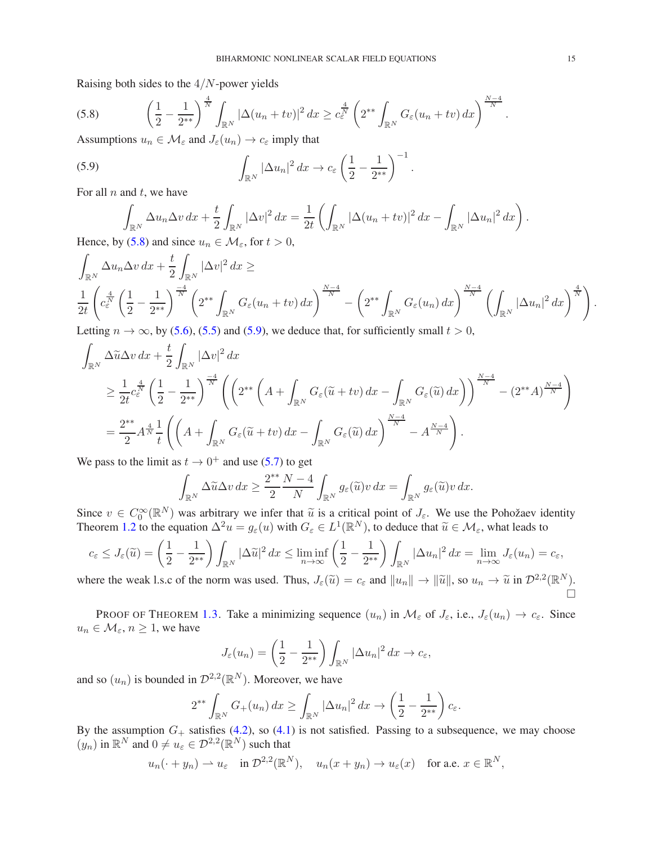Raising both sides to the 4/N-power yields

<span id="page-14-0"></span>(5.8) 
$$
\left(\frac{1}{2} - \frac{1}{2^{**}}\right)^{\frac{4}{N}} \int_{\mathbb{R}^N} |\Delta(u_n + tv)|^2 dx \geq c_{\varepsilon}^{\frac{4}{N}} \left(2^{**} \int_{\mathbb{R}^N} G_{\varepsilon}(u_n + tv) dx\right)^{\frac{N-4}{N}}.
$$
Assumptions  $u_n \in M$  and  $I_n(u_n) \to c_n$  imply that

Assumptions  $u_n \in \mathcal{M}_{\varepsilon}$  and  $J_{\varepsilon}(u_n) \to c_{\varepsilon}$  imply that

(5.9) 
$$
\int_{\mathbb{R}^N} |\Delta u_n|^2 dx \to c_{\varepsilon} \left(\frac{1}{2} - \frac{1}{2^{**}}\right)^{-1}
$$

For all  $n$  and  $t$ , we have

<span id="page-14-1"></span>
$$
\int_{\mathbb{R}^N} \Delta u_n \Delta v \, dx + \frac{t}{2} \int_{\mathbb{R}^N} |\Delta v|^2 \, dx = \frac{1}{2t} \left( \int_{\mathbb{R}^N} |\Delta (u_n + tv)|^2 \, dx - \int_{\mathbb{R}^N} |\Delta u_n|^2 \, dx \right).
$$
\n(5.8) and since  $u_n \in M$ , for  $t > 0$ 

.

Hence, by [\(5.8\)](#page-14-0) and since  $u_n \in \mathcal{M}_{\varepsilon}$ , for  $t > 0$ ,

$$
\int_{\mathbb{R}^N} \Delta u_n \Delta v \, dx + \frac{t}{2} \int_{\mathbb{R}^N} |\Delta v|^2 \, dx \ge
$$
\n
$$
\frac{1}{2t} \left( c_{\varepsilon}^{\frac{4}{N}} \left( \frac{1}{2} - \frac{1}{2^{**}} \right)^{\frac{-4}{N}} \left( 2^{**} \int_{\mathbb{R}^N} G_{\varepsilon}(u_n + tv) \, dx \right)^{\frac{N-4}{N}} - \left( 2^{**} \int_{\mathbb{R}^N} G_{\varepsilon}(u_n) \, dx \right)^{\frac{N-4}{N}} \left( \int_{\mathbb{R}^N} |\Delta u_n|^2 \, dx \right)^{\frac{4}{N}} \right).
$$
\nLetting  $n \to \infty$  by (5.6). (5.5) and (5.0), we deduce that for sufficiently small  $t > 0$ .

Letting  $n \to \infty$ , by [\(5.6\)](#page-13-1), [\(5.5\)](#page-13-0) and [\(5.9\)](#page-14-1), we deduce that, for sufficiently small  $t > 0$ ,

$$
\int_{\mathbb{R}^N} \Delta \widetilde{u} \Delta v \, dx + \frac{t}{2} \int_{\mathbb{R}^N} |\Delta v|^2 \, dx
$$
\n
$$
\geq \frac{1}{2t} c_{\varepsilon}^{\frac{4}{N}} \left( \frac{1}{2} - \frac{1}{2^{**}} \right)^{\frac{-4}{N}} \left( \left( 2^{**} \left( A + \int_{\mathbb{R}^N} G_{\varepsilon}(\widetilde{u} + tv) \, dx - \int_{\mathbb{R}^N} G_{\varepsilon}(\widetilde{u}) \, dx \right) \right)^{\frac{N-4}{N}} - (2^{**} A)^{\frac{N-4}{N}} \right)
$$
\n
$$
= \frac{2^{**}}{2} A^{\frac{4}{N}} \frac{1}{t} \left( \left( A + \int_{\mathbb{R}^N} G_{\varepsilon}(\widetilde{u} + tv) \, dx - \int_{\mathbb{R}^N} G_{\varepsilon}(\widetilde{u}) \, dx \right)^{\frac{N-4}{N}} - A^{\frac{N-4}{N}} \right).
$$

We pass to the limit as  $t \to 0^+$  and use [\(5.7\)](#page-13-2) to get

$$
\int_{\mathbb{R}^N} \Delta \widetilde{u} \Delta v \, dx \ge \frac{2^{**}}{2} \frac{N-4}{N} \int_{\mathbb{R}^N} g_{\varepsilon}(\widetilde{u}) v \, dx = \int_{\mathbb{R}^N} g_{\varepsilon}(\widetilde{u}) v \, dx.
$$

Since  $v \in C_0^{\infty}(\mathbb{R}^N)$  was arbitrary we infer that  $\tilde{u}$  is a critical point of  $J_{\varepsilon}$ . We use the Pohožaev identity Theorem [1.2](#page-1-2) to the equation  $\Delta^2 u = g_{\varepsilon}(u)$  with  $G_{\varepsilon} \in L^1(\mathbb{R}^N)$ , to deduce that  $\widetilde{u} \in \mathcal{M}_{\varepsilon}$ , what leads to

$$
c_{\varepsilon} \leq J_{\varepsilon}(\widetilde{u}) = \left(\frac{1}{2} - \frac{1}{2^{**}}\right) \int_{\mathbb{R}^N} |\Delta \widetilde{u}|^2 dx \leq \liminf_{n \to \infty} \left(\frac{1}{2} - \frac{1}{2^{**}}\right) \int_{\mathbb{R}^N} |\Delta u_n|^2 dx = \lim_{n \to \infty} J_{\varepsilon}(u_n) = c_{\varepsilon},
$$

where the weak l.s.c of the norm was used. Thus,  $J_{\varepsilon}(\tilde{u}) = c_{\varepsilon}$  and  $||u_n|| \to ||\tilde{u}||$ , so  $u_n \to \tilde{u}$  in  $\mathcal{D}^{2,2}(\mathbb{R}^N)$ . Ò

PROOF OF THEOREM [1.3.](#page-2-0) Take a minimizing sequence  $(u_n)$  in  $\mathcal{M}_{\varepsilon}$  of  $J_{\varepsilon}$ , i.e.,  $J_{\varepsilon}(u_n) \to c_{\varepsilon}$ . Since  $u_n \in \mathcal{M}_{\varepsilon}, n \geq 1$ , we have

$$
J_{\varepsilon}(u_n) = \left(\frac{1}{2} - \frac{1}{2^{**}}\right) \int_{\mathbb{R}^N} |\Delta u_n|^2 \, dx \to c_{\varepsilon},
$$

and so  $(u_n)$  is bounded in  $\mathcal{D}^{2,2}(\mathbb{R}^N)$ . Moreover, we have

$$
2^{**} \int_{\mathbb{R}^N} G_+(u_n) \, dx \ge \int_{\mathbb{R}^N} |\Delta u_n|^2 \, dx \to \left(\frac{1}{2} - \frac{1}{2^{**}}\right) c_\varepsilon.
$$

By the assumption  $G_+$  satisfies [\(4.2\)](#page-8-3), so [\(4.1\)](#page-8-4) is not satisfied. Passing to a subsequence, we may choose  $(y_n)$  in  $\mathbb{R}^N$  and  $0 \neq u_{\varepsilon} \in \mathcal{D}^{2,2}(\mathbb{R}^N)$  such that

$$
u_n(\cdot+y_n)\rightharpoonup u_{\varepsilon}
$$
 in  $\mathcal{D}^{2,2}(\mathbb{R}^N)$ ,  $u_n(x+y_n)\to u_{\varepsilon}(x)$  for a.e.  $x\in\mathbb{R}^N$ ,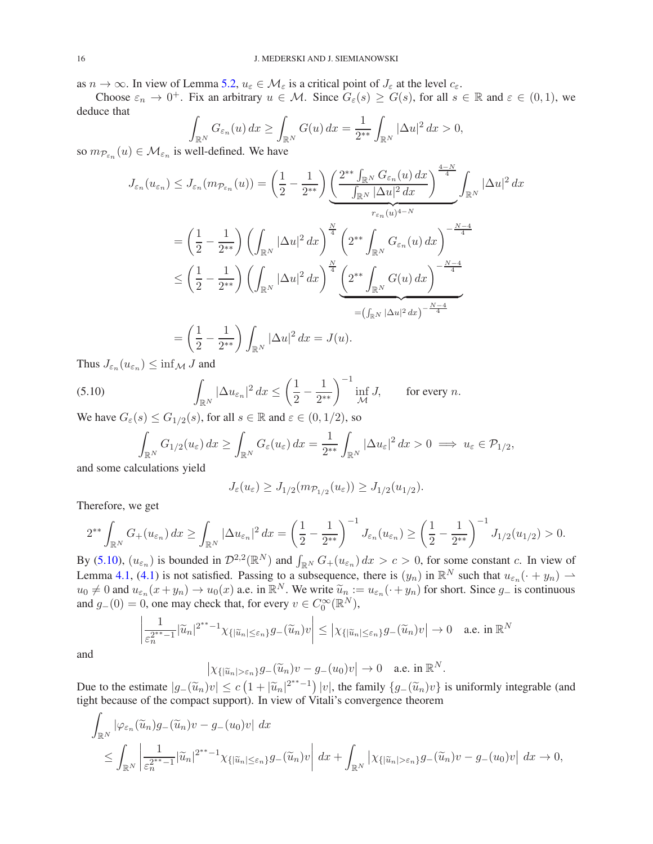as  $n \to \infty$ . In view of Lemma [5.2,](#page-13-3)  $u_{\varepsilon} \in \mathcal{M}_{\varepsilon}$  is a critical point of  $J_{\varepsilon}$  at the level  $c_{\varepsilon}$ .

Choose  $\varepsilon_n \to 0^+$ . Fix an arbitrary  $u \in \mathcal{M}$ . Since  $G_{\varepsilon}(s) \geq G(s)$ , for all  $s \in \mathbb{R}$  and  $\varepsilon \in (0,1)$ , we deduce that

$$
\int_{\mathbb{R}^N} G_{\varepsilon_n}(u) dx \ge \int_{\mathbb{R}^N} G(u) dx = \frac{1}{2^{**}} \int_{\mathbb{R}^N} |\Delta u|^2 dx > 0,
$$

so  $m_{\mathcal{P}_{\varepsilon_n}}(u) \in \mathcal{M}_{\varepsilon_n}$  is well-defined. We have

$$
J_{\varepsilon_n}(u_{\varepsilon_n}) \leq J_{\varepsilon_n}(m_{\mathcal{P}_{\varepsilon_n}}(u)) = \left(\frac{1}{2} - \frac{1}{2^{**}}\right) \underbrace{\left(\frac{2^{**} \int_{\mathbb{R}^N} G_{\varepsilon_n}(u) dx}{\int_{\mathbb{R}^N} |\Delta u|^2 dx}\right)^{\frac{4-N}{4}}}_{r_{\varepsilon_n}(u)^{4-N}} \int_{\mathbb{R}^N} |\Delta u|^2 dx
$$
  
\n
$$
= \left(\frac{1}{2} - \frac{1}{2^{**}}\right) \left(\int_{\mathbb{R}^N} |\Delta u|^2 dx\right)^{\frac{N}{4}} \left(2^{**} \int_{\mathbb{R}^N} G_{\varepsilon_n}(u) dx\right)^{-\frac{N-4}{4}}
$$
  
\n
$$
\leq \left(\frac{1}{2} - \frac{1}{2^{**}}\right) \left(\int_{\mathbb{R}^N} |\Delta u|^2 dx\right)^{\frac{N}{4}} \underbrace{\left(2^{**} \int_{\mathbb{R}^N} G(u) dx\right)^{-\frac{N-4}{4}}}_{=(\int_{\mathbb{R}^N} |\Delta u|^2 dx)^{-\frac{N-4}{4}}}
$$
  
\n
$$
= \left(\frac{1}{2} - \frac{1}{2^{**}}\right) \int_{\mathbb{R}^N} |\Delta u|^2 dx = J(u).
$$

Thus  $J_{\varepsilon_n}(u_{\varepsilon_n}) \leq \inf_{\mathcal{M}} J$  and

(5.10) 
$$
\int_{\mathbb{R}^N} |\Delta u_{\varepsilon_n}|^2 dx \le \left(\frac{1}{2} - \frac{1}{2^{**}}\right)^{-1} \inf_{\mathcal{M}} J, \quad \text{for every } n.
$$

We have  $G_{\varepsilon}(s) \leq G_{1/2}(s)$ , for all  $s \in \mathbb{R}$  and  $\varepsilon \in (0, 1/2)$ , so

<span id="page-15-0"></span>
$$
\int_{\mathbb{R}^N} G_{1/2}(u_{\varepsilon}) dx \ge \int_{\mathbb{R}^N} G_{\varepsilon}(u_{\varepsilon}) dx = \frac{1}{2^{**}} \int_{\mathbb{R}^N} |\Delta u_{\varepsilon}|^2 dx > 0 \implies u_{\varepsilon} \in \mathcal{P}_{1/2},
$$

and some calculations yield

$$
J_{\varepsilon}(u_{\varepsilon}) \geq J_{1/2}(m_{\mathcal{P}_{1/2}}(u_{\varepsilon})) \geq J_{1/2}(u_{1/2}).
$$

Therefore, we get

$$
2^{**}\int_{\mathbb{R}^N} G_+(u_{\varepsilon_n}) dx \ge \int_{\mathbb{R}^N} |\Delta u_{\varepsilon_n}|^2 dx = \left(\frac{1}{2} - \frac{1}{2^{**}}\right)^{-1} J_{\varepsilon_n}(u_{\varepsilon_n}) \ge \left(\frac{1}{2} - \frac{1}{2^{**}}\right)^{-1} J_{1/2}(u_{1/2}) > 0.
$$

By [\(5.10\)](#page-15-0),  $(u_{\varepsilon_n})$  is bounded in  $\mathcal{D}^{2,2}(\mathbb{R}^N)$  and  $\int_{\mathbb{R}^N} G_+(u_{\varepsilon_n}) dx > c > 0$ , for some constant c. In view of Lemma [4.1,](#page-8-1) [\(4.1\)](#page-8-4) is not satisfied. Passing to a subsequence, there is  $(y_n)$  in  $\mathbb{R}^N$  such that  $u_{\varepsilon_n}(\cdot + y_n) \rightharpoonup$  $u_0 \neq 0$  and  $u_{\varepsilon_n}(x+y_n) \to u_0(x)$  a.e. in  $\mathbb{R}^N$ . We write  $\widetilde{u}_n := u_{\varepsilon_n}(\cdot+y_n)$  for short. Since  $g_-$  is continuous and  $g_-(0) = 0$ , one may check that, for every  $v \in C_0^{\infty}(\mathbb{R}^N)$ ,

$$
\left|\frac{1}{\varepsilon_n^{2^{**}-1}}|\widetilde{u}_n|^{2^{**}-1}\chi_{\{|\widetilde{u}_n|\leq \varepsilon_n\}}g_{-}(\widetilde{u}_n)v\right| \leq \left|\chi_{\{|\widetilde{u}_n|\leq \varepsilon_n\}}g_{-}(\widetilde{u}_n)v\right| \to 0 \quad \text{a.e. in } \mathbb{R}^N
$$

and

$$
\left|\chi_{\{|\widetilde{u}_n|>\varepsilon_n\}}g_-(\widetilde{u}_n)v-g_-(u_0)v\right|\to 0 \quad \text{a.e. in } \mathbb{R}^N.
$$

Due to the estimate  $|g_{-}(\tilde{u}_{n})v| \leq c(1+|\tilde{u}_{n}|^{2^{**}-1})|v|$ , the family  $\{g_{-}(\tilde{u}_{n})v\}$  is uniformly integrable (and tight because of the compact support). In view of Vitali's convergence theorem

$$
\int_{\mathbb{R}^N} |\varphi_{\varepsilon_n}(\widetilde{u}_n) g_{-}(\widetilde{u}_n) v - g_{-}(u_0) v| \, dx
$$
\n
$$
\leq \int_{\mathbb{R}^N} \left| \frac{1}{\varepsilon_n^{2^{**}-1}} |\widetilde{u}_n|^{2^{**}-1} \chi_{\{|\widetilde{u}_n| \leq \varepsilon_n\}} g_{-}(\widetilde{u}_n) v \right| \, dx + \int_{\mathbb{R}^N} |\chi_{\{|\widetilde{u}_n| > \varepsilon_n\}} g_{-}(\widetilde{u}_n) v - g_{-}(u_0) v| \, dx \to 0,
$$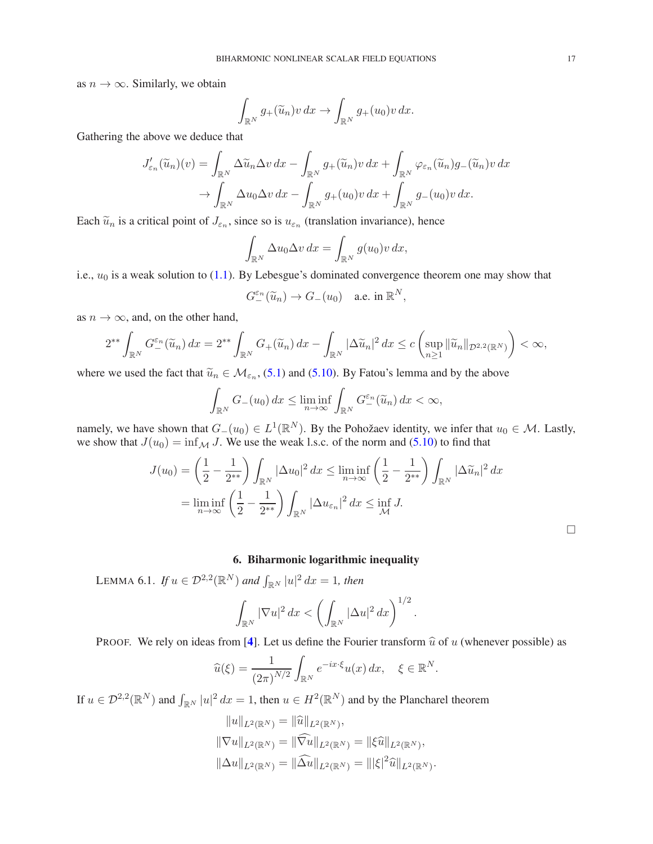as  $n \to \infty$ . Similarly, we obtain

$$
\int_{\mathbb{R}^N} g_+(\widetilde{u}_n)v\,dx \to \int_{\mathbb{R}^N} g_+(u_0)v\,dx.
$$

Gathering the above we deduce that

$$
J'_{\varepsilon_n}(\widetilde{u}_n)(v) = \int_{\mathbb{R}^N} \Delta \widetilde{u}_n \Delta v \, dx - \int_{\mathbb{R}^N} g_+(\widetilde{u}_n)v \, dx + \int_{\mathbb{R}^N} \varphi_{\varepsilon_n}(\widetilde{u}_n)g_-(\widetilde{u}_n)v \, dx
$$

$$
\to \int_{\mathbb{R}^N} \Delta u_0 \Delta v \, dx - \int_{\mathbb{R}^N} g_+(u_0)v \, dx + \int_{\mathbb{R}^N} g_-(u_0)v \, dx.
$$

Each  $\tilde{u}_n$  is a critical point of  $J_{\varepsilon_n}$ , since so is  $u_{\varepsilon_n}$  (translation invariance), hence

$$
\int_{\mathbb{R}^N} \Delta u_0 \Delta v \, dx = \int_{\mathbb{R}^N} g(u_0) v \, dx,
$$

i.e.,  $u_0$  is a weak solution to [\(1.1\)](#page-0-0). By Lebesgue's dominated convergence theorem one may show that

$$
G_-^{\varepsilon_n}(\widetilde{u}_n)\to G_-(u_0)\quad\text{a.e. in }\mathbb{R}^N,
$$

as  $n \to \infty$ , and, on the other hand,

$$
2^{**}\int_{\mathbb{R}^N} G_-^{\varepsilon_n}(\widetilde{u}_n) dx = 2^{**}\int_{\mathbb{R}^N} G_+(\widetilde{u}_n) dx - \int_{\mathbb{R}^N} |\Delta \widetilde{u}_n|^2 dx \le c \left( \sup_{n \ge 1} \|\widetilde{u}_n\|_{\mathcal{D}^{2,2}(\mathbb{R}^N)} \right) < \infty,
$$

where we used the fact that  $\tilde{u}_n \in M_{\varepsilon_n}$ , [\(5.1\)](#page-10-1) and [\(5.10\)](#page-15-0). By Fatou's lemma and by the above

$$
\int_{\mathbb{R}^N} G_{-}(u_0) dx \le \liminf_{n \to \infty} \int_{\mathbb{R}^N} G_{-}^{\varepsilon_n}(\widetilde{u}_n) dx < \infty,
$$

namely, we have shown that  $G_-(u_0) \in L^1(\mathbb{R}^N)$ . By the Pohožaev identity, we infer that  $u_0 \in \mathcal{M}$ . Lastly, we show that  $J(u_0) = \inf_{\mathcal{M}} J$ . We use the weak l.s.c. of the norm and [\(5.10\)](#page-15-0) to find that

$$
J(u_0) = \left(\frac{1}{2} - \frac{1}{2^{**}}\right) \int_{\mathbb{R}^N} |\Delta u_0|^2 dx \le \liminf_{n \to \infty} \left(\frac{1}{2} - \frac{1}{2^{**}}\right) \int_{\mathbb{R}^N} |\Delta \widetilde{u}_n|^2 dx
$$
  
= 
$$
\liminf_{n \to \infty} \left(\frac{1}{2} - \frac{1}{2^{**}}\right) \int_{\mathbb{R}^N} |\Delta u_{\varepsilon_n}|^2 dx \le \inf_{\mathcal{M}} J.
$$

# 6. Biharmonic logarithmic inequality

<span id="page-16-1"></span><span id="page-16-0"></span>LEMMA 6.1. *If*  $u \in \mathcal{D}^{2,2}(\mathbb{R}^N)$  and  $\int_{\mathbb{R}^N} |u|^2 dx = 1$ , then

$$
\int_{\mathbb{R}^N} |\nabla u|^2\,dx < \left(\int_{\mathbb{R}^N} |\Delta u|^2\,dx\right)^{1/2}.
$$

PROOF. We rely on ideas from [[4](#page-19-19)]. Let us define the Fourier transform  $\hat{u}$  of u (whenever possible) as

$$
\widehat{u}(\xi) = \frac{1}{(2\pi)^{N/2}} \int_{\mathbb{R}^N} e^{-ix\cdot\xi} u(x) \, dx, \quad \xi \in \mathbb{R}^N.
$$

If  $u \in \mathcal{D}^{2,2}(\mathbb{R}^N)$  and  $\int_{\mathbb{R}^N} |u|^2 dx = 1$ , then  $u \in H^2(\mathbb{R}^N)$  and by the Plancharel theorem

$$
||u||_{L^{2}(\mathbb{R}^{N})} = ||\widehat{u}||_{L^{2}(\mathbb{R}^{N})},
$$
  
\n
$$
||\nabla u||_{L^{2}(\mathbb{R}^{N})} = ||\widehat{\nabla u}||_{L^{2}(\mathbb{R}^{N})} = ||\xi \widehat{u}||_{L^{2}(\mathbb{R}^{N})},
$$
  
\n
$$
||\Delta u||_{L^{2}(\mathbb{R}^{N})} = ||\Delta u||_{L^{2}(\mathbb{R}^{N})} = |||\xi|^{2} \widehat{u}||_{L^{2}(\mathbb{R}^{N})}.
$$

 $\Box$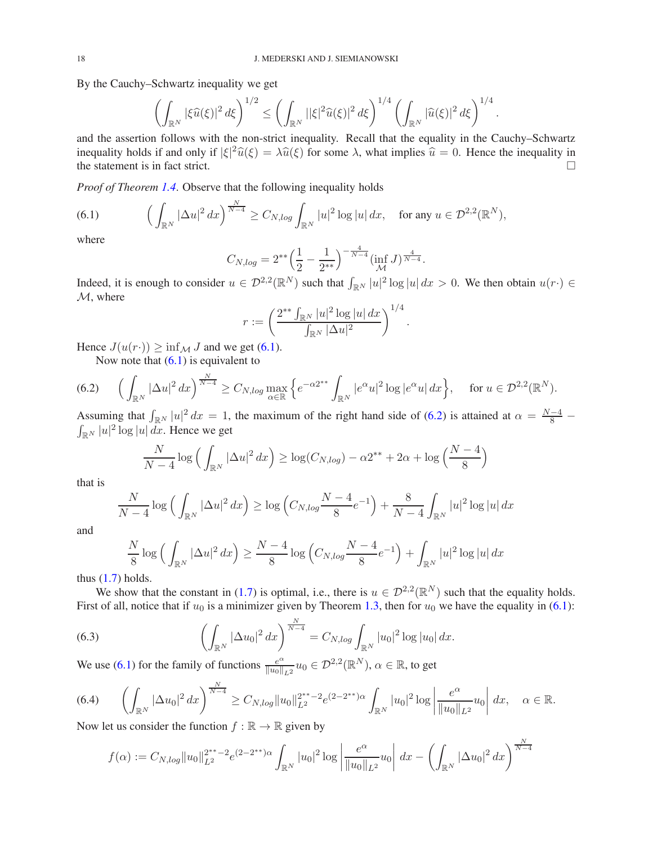By the Cauchy–Schwartz inequality we get

$$
\left(\int_{\mathbb{R}^N} |\xi \widehat{u}(\xi)|^2 d\xi\right)^{1/2} \le \left(\int_{\mathbb{R}^N} |\xi|^2 \widehat{u}(\xi)|^2 d\xi\right)^{1/4} \left(\int_{\mathbb{R}^N} |\widehat{u}(\xi)|^2 d\xi\right)^{1/4}.
$$

and the assertion follows with the non-strict inequality. Recall that the equality in the Cauchy–Schwartz inequality holds if and only if  $|\xi|^2 \hat{u}(\xi) = \lambda \hat{u}(\xi)$  for some  $\lambda$ , what implies  $\hat{u} = 0$ . Hence the inequality in the statement is in fact strict.

*Proof of Theorem [1.4](#page-2-4)*. Observe that the following inequality holds

<span id="page-17-0"></span>(6.1) 
$$
\left(\int_{\mathbb{R}^N} |\Delta u|^2 dx\right)^{\frac{N}{N-4}} \geq C_{N,\log} \int_{\mathbb{R}^N} |u|^2 \log |u| dx, \text{ for any } u \in \mathcal{D}^{2,2}(\mathbb{R}^N),
$$

where

$$
C_{N,log} = 2^{**} \left(\frac{1}{2} - \frac{1}{2^{**}}\right)^{-\frac{4}{N-4}} (\inf_{\mathcal{M}} J)^{\frac{4}{N-4}}.
$$

Indeed, it is enough to consider  $u \in \mathcal{D}^{2,2}(\mathbb{R}^N)$  such that  $\int_{\mathbb{R}^N} |u|^2 \log |u| dx > 0$ . We then obtain  $u(r) \in$ M, where

$$
r := \left(\frac{2^{**} \int_{\mathbb{R}^N} |u|^2 \log |u| \, dx}{\int_{\mathbb{R}^N} |\Delta u|^2}\right)^{1/4}
$$

.

Hence  $J(u(r\cdot)) \ge \inf_{\mathcal{M}} J$  and we get [\(6.1\)](#page-17-0).

<span id="page-17-1"></span>Now note that  $(6.1)$  is equivalent to

$$
(6.2) \qquad \Big(\int_{\mathbb{R}^N} |\Delta u|^2 \, dx\Big)^{\frac{N}{N-4}} \ge C_{N,\log\max_{\alpha\in\mathbb{R}}} \Big\{ e^{-\alpha 2^{**}} \int_{\mathbb{R}^N} |e^{\alpha}u|^2 \log |e^{\alpha}u| \, dx \Big\}, \quad \text{for } u \in \mathcal{D}^{2,2}(\mathbb{R}^N).
$$

Assuming that  $\int_{\mathbb{R}^N} |u|^2 dx = 1$ , the maximum of the right hand side of [\(6.2\)](#page-17-1) is attained at  $\alpha = \frac{N-4}{8} - \int_{\mathbb{R}^N} |u|^2 \log |u| dx$ . Hence we get  $\int_{\mathbb{R}^N} |u|^2 \log |u| \, dx$ . Hence we get

$$
\frac{N}{N-4}\log\left(\int_{\mathbb{R}^N}|\Delta u|^2\,dx\right)\geq \log(C_{N,log})-\alpha 2^{**}+2\alpha+\log\left(\frac{N-4}{8}\right)
$$

that is

$$
\frac{N}{N-4}\log\Big(\int_{\mathbb{R}^N}|\Delta u|^2\,dx\Big)\geq \log\Big(C_{N,\log}\frac{N-4}{8}e^{-1}\Big)+\frac{8}{N-4}\int_{\mathbb{R}^N}|u|^2\log|u|\,dx
$$

and

<span id="page-17-3"></span>
$$
\frac{N}{8}\log\left(\int_{\mathbb{R}^N} |\Delta u|^2 \, dx\right) \ge \frac{N-4}{8}\log\left(C_{N, \log}\frac{N-4}{8}e^{-1}\right) + \int_{\mathbb{R}^N} |u|^2 \log|u| \, dx
$$

thus  $(1.7)$  holds.

We show that the constant in [\(1.7\)](#page-2-1) is optimal, i.e., there is  $u \in \mathcal{D}^{2,2}(\mathbb{R}^N)$  such that the equality holds. First of all, notice that if  $u_0$  is a minimizer given by Theorem [1.3,](#page-2-0) then for  $u_0$  we have the equality in [\(6.1\)](#page-17-0):

(6.3) 
$$
\left(\int_{\mathbb{R}^N} |\Delta u_0|^2 dx\right)^{\frac{N}{N-4}} = C_{N, \log} \int_{\mathbb{R}^N} |u_0|^2 \log |u_0| dx.
$$

We use [\(6.1\)](#page-17-0) for the family of functions  $\frac{e^{ax}}{\|a\|^{2}}$  $\frac{e^{\alpha}}{\|u_0\|_{L^2}}u_0\in \mathcal{D}^{2,2}(\mathbb{R}^N),$   $\alpha\in\mathbb{R},$  to get

<span id="page-17-2"></span>
$$
(6.4) \qquad \left(\int_{\mathbb{R}^N} |\Delta u_0|^2 \, dx\right)^{\frac{N}{N-4}} \ge C_{N, \log} \|u_0\|_{L^2}^{2^{**}-2} e^{(2-2^{**})\alpha} \int_{\mathbb{R}^N} |u_0|^2 \log \left|\frac{e^{\alpha}}{\|u_0\|_{L^2}} u_0\right| \, dx, \quad \alpha \in \mathbb{R}.
$$

Now let us consider the function  $f : \mathbb{R} \to \mathbb{R}$  given by

$$
f(\alpha) := C_{N, \log} ||u_0||_{L^2}^{2^{**}-2} e^{(2-2^{**})\alpha} \int_{\mathbb{R}^N} |u_0|^2 \log \left| \frac{e^{\alpha}}{||u_0||_{L^2}} u_0 \right| dx - \left( \int_{\mathbb{R}^N} |\Delta u_0|^2 dx \right)^{\frac{N}{N-4}}
$$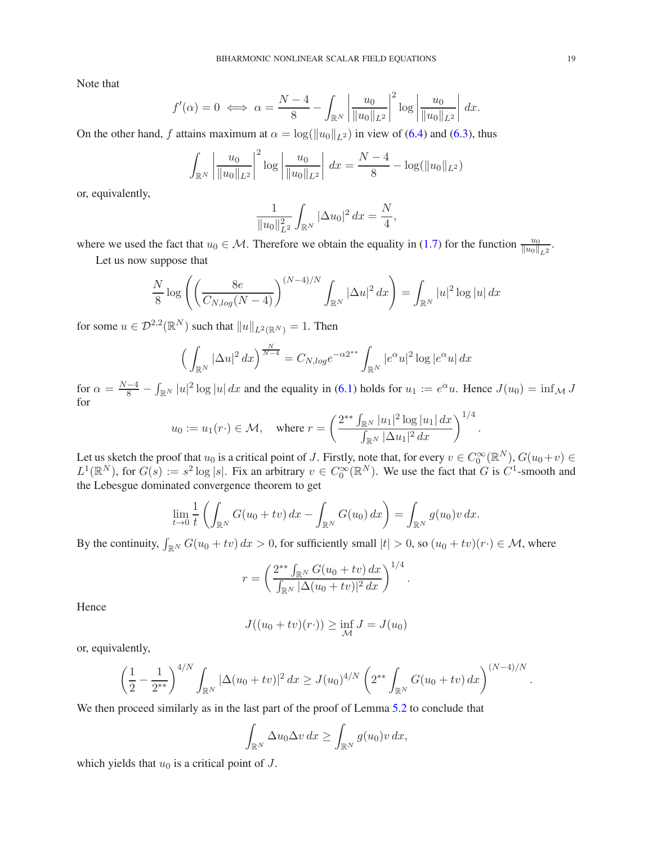Note that

$$
f'(\alpha) = 0 \iff \alpha = \frac{N-4}{8} - \int_{\mathbb{R}^N} \left| \frac{u_0}{\|u_0\|_{L^2}} \right|^2 \log \left| \frac{u_0}{\|u_0\|_{L^2}} \right| dx.
$$

On the other hand, f attains maximum at  $\alpha = \log(||u_0||_{L^2})$  in view of [\(6.4\)](#page-17-2) and [\(6.3\)](#page-17-3), thus

$$
\int_{\mathbb{R}^N} \left| \frac{u_0}{\|u_0\|_{L^2}} \right|^2 \log \left| \frac{u_0}{\|u_0\|_{L^2}} \right| dx = \frac{N-4}{8} - \log(\|u_0\|_{L^2})
$$

or, equivalently,

$$
\frac{1}{\|u_0\|_{L^2}^2} \int_{\mathbb{R}^N} |\Delta u_0|^2 dx = \frac{N}{4},
$$

where we used the fact that  $u_0 \in \mathcal{M}$ . Therefore we obtain the equality in [\(1.7\)](#page-2-1) for the function  $\frac{u_0}{\|u_0\|_{L^2}}$ .

Let us now suppose that

$$
\frac{N}{8}\log\left(\left(\frac{8e}{C_{N,\log}(N-4)}\right)^{(N-4)/N}\int_{\mathbb{R}^N}|\Delta u|^2\,dx\right)=\int_{\mathbb{R}^N}|u|^2\log|u|\,dx
$$

for some  $u \in \mathcal{D}^{2,2}(\mathbb{R}^N)$  such that  $||u||_{L^2(\mathbb{R}^N)} = 1$ . Then

$$
\left(\int_{\mathbb{R}^N} |\Delta u|^2 \, dx\right)^{\frac{N}{N-4}} = C_{N, \log} e^{-\alpha 2^{**}} \int_{\mathbb{R}^N} |e^{\alpha} u|^2 \log |e^{\alpha} u| \, dx
$$

for  $\alpha = \frac{N-4}{8} - \int_{\mathbb{R}^N} |u|^2 \log |u| dx$  and the equality in [\(6.1\)](#page-17-0) holds for  $u_1 := e^{\alpha}u$ . Hence  $J(u_0) = \inf_{\mathcal{M}} J$ for

$$
u_0 := u_1(r \cdot) \in \mathcal{M}
$$
, where  $r = \left(\frac{2^{**} \int_{\mathbb{R}^N} |u_1|^2 \log |u_1| dx}{\int_{\mathbb{R}^N} |\Delta u_1|^2 dx}\right)^{1/4}$ 

.

.

Let us sketch the proof that  $u_0$  is a critical point of J. Firstly, note that, for every  $v \in C_0^{\infty}(\mathbb{R}^N)$ ,  $G(u_0+v) \in$  $L^1(\mathbb{R}^N)$ , for  $G(s) := s^2 \log |s|$ . Fix an arbitrary  $v \in C_0^{\infty}(\mathbb{R}^N)$ . We use the fact that G is  $C^1$ -smooth and the Lebesgue dominated convergence theorem to get

$$
\lim_{t \to 0} \frac{1}{t} \left( \int_{\mathbb{R}^N} G(u_0 + tv) \, dx - \int_{\mathbb{R}^N} G(u_0) \, dx \right) = \int_{\mathbb{R}^N} g(u_0) v \, dx.
$$

By the continuity,  $\int_{\mathbb{R}^N} G(u_0 + tv) dx > 0$ , for sufficiently small  $|t| > 0$ , so  $(u_0 + tv)(r \cdot) \in \mathcal{M}$ , where

$$
r = \left(\frac{2^{**} \int_{\mathbb{R}^N} G(u_0 + tv) \, dx}{\int_{\mathbb{R}^N} |\Delta(u_0 + tv)|^2 \, dx}\right)^{1/4}.
$$

Hence

$$
J((u_0 + tv)(r\cdot)) \ge \inf_{\mathcal{M}} J = J(u_0)
$$

or, equivalently,

$$
\left(\frac{1}{2} - \frac{1}{2^{**}}\right)^{4/N} \int_{\mathbb{R}^N} |\Delta(u_0 + tv)|^2 dx \ge J(u_0)^{4/N} \left(2^{**} \int_{\mathbb{R}^N} G(u_0 + tv) dx\right)^{(N-4)/N}
$$

We then proceed similarly as in the last part of the proof of Lemma [5.2](#page-13-3) to conclude that

$$
\int_{\mathbb{R}^N} \Delta u_0 \Delta v \, dx \ge \int_{\mathbb{R}^N} g(u_0) v \, dx,
$$

which yields that  $u_0$  is a critical point of  $J$ .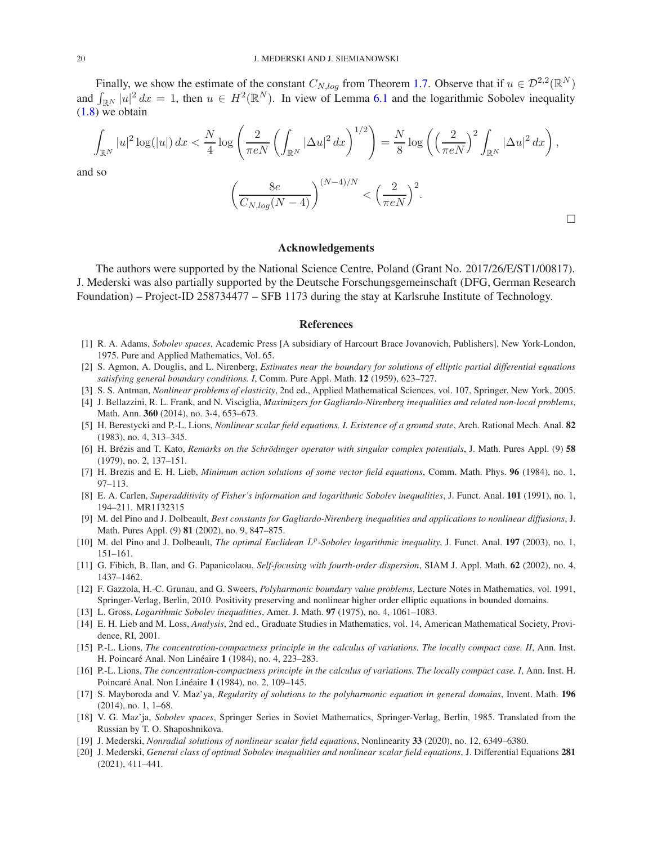Finally, we show the estimate of the constant  $C_{N,log}$  from Theorem [1.7.](#page-2-1) Observe that if  $u \in \mathcal{D}^{2,2}(\mathbb{R}^N)$ and  $\int_{\mathbb{R}^N} |u|^2 dx = 1$ , then  $u \in H^2(\mathbb{R}^N)$ . In view of Lemma [6.1](#page-16-1) and the logarithmic Sobolev inequality  $(1.8)$  we obtain

$$
\int_{\mathbb{R}^N} |u|^2 \log(|u|) dx < \frac{N}{4} \log \left( \frac{2}{\pi eN} \left( \int_{\mathbb{R}^N} |\Delta u|^2 dx \right)^{1/2} \right) = \frac{N}{8} \log \left( \left( \frac{2}{\pi eN} \right)^2 \int_{\mathbb{R}^N} |\Delta u|^2 dx \right),
$$

and so

$$
\left(\frac{8e}{C_{N,log}(N-4)}\right)^{(N-4)/N} < \left(\frac{2}{\pi eN}\right)^2.
$$

### Acknowledgements

The authors were supported by the National Science Centre, Poland (Grant No. 2017/26/E/ST1/00817). J. Mederski was also partially supported by the Deutsche Forschungsgemeinschaft (DFG, German Research Foundation) – Project-ID 258734477 – SFB 1173 during the stay at Karlsruhe Institute of Technology.

#### References

- <span id="page-19-15"></span>[1] R. A. Adams, *Sobolev spaces*, Academic Press [A subsidiary of Harcourt Brace Jovanovich, Publishers], New York-London, 1975. Pure and Applied Mathematics, Vol. 65.
- <span id="page-19-4"></span>[2] S. Agmon, A. Douglis, and L. Nirenberg, *Estimates near the boundary for solutions of elliptic partial differential equations satisfying general boundary conditions. I*, Comm. Pure Appl. Math. 12 (1959), 623–727.
- <span id="page-19-0"></span>[3] S. S. Antman, *Nonlinear problems of elasticity*, 2nd ed., Applied Mathematical Sciences, vol. 107, Springer, New York, 2005.
- <span id="page-19-19"></span>[4] J. Bellazzini, R. L. Frank, and N. Visciglia, *Maximizers for Gagliardo-Nirenberg inequalities and related non-local problems*, Math. Ann. 360 (2014), no. 3-4, 653–673.
- <span id="page-19-7"></span>[5] H. Berestycki and P.-L. Lions, *Nonlinear scalar field equations. I. Existence of a ground state*, Arch. Rational Mech. Anal. 82 (1983), no. 4, 313–345.
- <span id="page-19-3"></span>[6] H. Brézis and T. Kato, *Remarks on the Schrödinger operator with singular complex potentials*, J. Math. Pures Appl. (9) 58 (1979), no. 2, 137–151.
- <span id="page-19-6"></span>[7] H. Brezis and E. H. Lieb, *Minimum action solutions of some vector field equations*, Comm. Math. Phys. 96 (1984), no. 1, 97–113.
- <span id="page-19-12"></span>[8] E. A. Carlen, *Superadditivity of Fisher's information and logarithmic Sobolev inequalities*, J. Funct. Anal. 101 (1991), no. 1, 194–211. MR1132315
- <span id="page-19-13"></span>[9] M. del Pino and J. Dolbeault, *Best constants for Gagliardo-Nirenberg inequalities and applications to nonlinear diffusions*, J. Math. Pures Appl. (9) 81 (2002), no. 9, 847–875.
- <span id="page-19-14"></span>[10] M. del Pino and J. Dolbeault, *The optimal Euclidean L<sup>p</sup>-Sobolev logarithmic inequality*, J. Funct. Anal. 197 (2003), no. 1, 151–161.
- <span id="page-19-1"></span>[11] G. Fibich, B. Ilan, and G. Papanicolaou, *Self-focusing with fourth-order dispersion*, SIAM J. Appl. Math. 62 (2002), no. 4, 1437–1462.
- <span id="page-19-2"></span>[12] F. Gazzola, H.-C. Grunau, and G. Sweers, *Polyharmonic boundary value problems*, Lecture Notes in Mathematics, vol. 1991, Springer-Verlag, Berlin, 2010. Positivity preserving and nonlinear higher order elliptic equations in bounded domains.
- <span id="page-19-10"></span>[13] L. Gross, *Logarithmic Sobolev inequalities*, Amer. J. Math. 97 (1975), no. 4, 1061–1083.
- <span id="page-19-11"></span>[14] E. H. Lieb and M. Loss, *Analysis*, 2nd ed., Graduate Studies in Mathematics, vol. 14, American Mathematical Society, Providence, RI, 2001.
- <span id="page-19-16"></span>[15] P.-L. Lions, *The concentration-compactness principle in the calculus of variations. The locally compact case. II*, Ann. Inst. H. Poincaré Anal. Non Linéaire 1 (1984), no. 4, 223–283.
- <span id="page-19-17"></span>[16] P.-L. Lions, *The concentration-compactness principle in the calculus of variations. The locally compact case. I*, Ann. Inst. H. Poincaré Anal. Non Linéaire 1 (1984), no. 2, 109–145.
- <span id="page-19-5"></span>[17] S. Mayboroda and V. Maz'ya, *Regularity of solutions to the polyharmonic equation in general domains*, Invent. Math. 196 (2014), no. 1, 1–68.
- <span id="page-19-18"></span>[18] V. G. Maz'ja, *Sobolev spaces*, Springer Series in Soviet Mathematics, Springer-Verlag, Berlin, 1985. Translated from the Russian by T. O. Shaposhnikova.
- <span id="page-19-8"></span>[19] J. Mederski, *Nonradial solutions of nonlinear scalar field equations*, Nonlinearity 33 (2020), no. 12, 6349–6380.
- <span id="page-19-9"></span>[20] J. Mederski, *General class of optimal Sobolev inequalities and nonlinear scalar field equations*, J. Differential Equations 281 (2021), 411–441.

 $\Box$